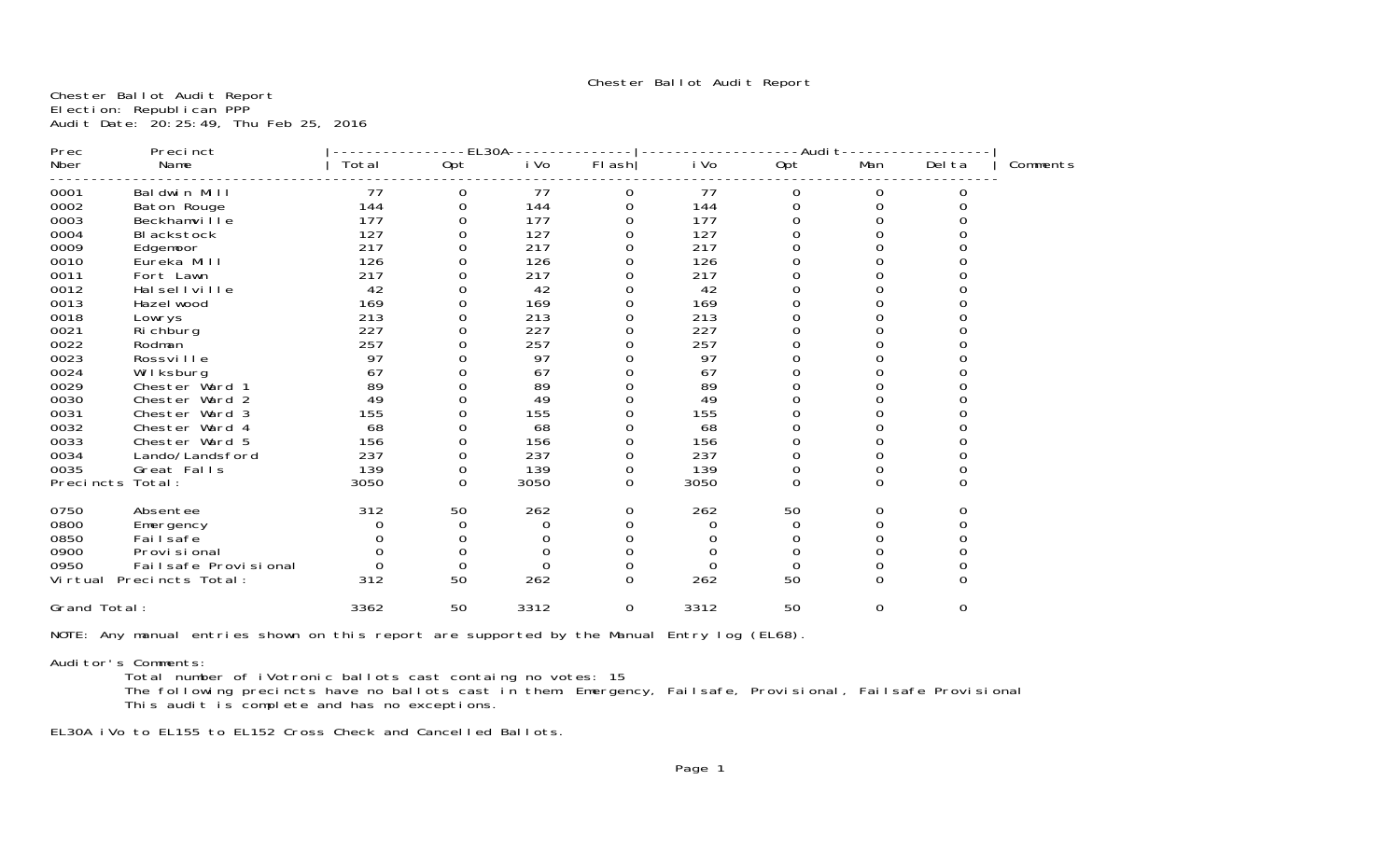Chester Ballot Audit Report

Chester Ballot Audit Report Election: Republican PPP Audit Date: 20:25:49, Thu Feb 25, 2016

| Total<br>Opt<br>FI ash<br>i Vo<br>Opt<br>Del ta<br>Name<br>i Vo<br>Man<br>Nber<br>0001<br>Baldwin Mill<br>77<br>77<br>77<br>0<br>0<br>0<br>0<br>O<br>144<br>144<br>0002<br>144<br>Baton Rouge<br>0<br>0<br>0<br>$\Omega$<br>0<br>177<br>0003<br>177<br>Beckhamville<br>177<br>127<br>127<br>0004<br>127<br>BI ackstock<br>217<br>217<br>217<br>0009<br>Edgemoor<br>126<br>126<br>126<br>0010<br>Eureka Mill<br>0011<br>217<br>217<br>217<br>Fort Lawn<br>0012<br>42<br>42<br>42<br>Hal sell ville<br>169<br>169<br>0013<br>169<br>Hazel wood<br>213<br>0018<br>213<br>213<br>Lowrys<br>227<br>227<br>227<br>0021<br>Ri chburg<br>0022<br>257<br>257<br>257<br>Rodman<br>0023<br>97<br>Rossville<br>97<br>97<br>0024<br>67<br>Wilksburg<br>67<br>67<br>89<br>89<br>0029<br>89<br>Chester Ward <sup>.</sup><br>49<br>49<br>0030<br>49<br>Chester Ward 2<br>155<br>155<br>155<br>0031<br>Chester Ward 3<br>0032<br>68<br>68<br>68<br>Chester Ward 4<br>0033<br>Chester Ward 5<br>156<br>156<br>156<br>0<br>0034<br>237<br>237<br>237<br>Lando/Landsford<br>0<br>139<br>139<br>0035<br>139<br>Great Falls<br>0<br>0<br>0<br>0<br>3050<br>3050<br>3050<br>$\Omega$<br>$\Omega$<br>$\Omega$<br>Precincts<br>Total:<br>0<br>$\Omega$<br>312<br>262<br>262<br>0750<br>50<br>50<br>Absentee<br>0<br>0<br>0<br>0800<br>0<br>0<br>0<br>Emergency<br>0<br>0850<br>Fai I safe<br>$\Omega$<br>0900<br>Provi si onal<br>0<br>ი<br>0<br>0950<br>Failsafe Provisional<br>0<br>0<br>0<br>0<br>262<br>50<br>312<br>50<br>$\Omega$<br>262<br>$\Omega$<br>Virtual Precincts Total:<br>$\Omega$<br>Grand Total:<br>3362<br>50<br>3312<br>3312<br>50<br>$\mathbf 0$<br>0<br>0 | Prec | Precinct | EL30A |  | -Audit- |  |          |
|--------------------------------------------------------------------------------------------------------------------------------------------------------------------------------------------------------------------------------------------------------------------------------------------------------------------------------------------------------------------------------------------------------------------------------------------------------------------------------------------------------------------------------------------------------------------------------------------------------------------------------------------------------------------------------------------------------------------------------------------------------------------------------------------------------------------------------------------------------------------------------------------------------------------------------------------------------------------------------------------------------------------------------------------------------------------------------------------------------------------------------------------------------------------------------------------------------------------------------------------------------------------------------------------------------------------------------------------------------------------------------------------------------------------------------------------------------------------------------------------------------------------------------------------------------------------------------------------------------------------------------------------------------|------|----------|-------|--|---------|--|----------|
|                                                                                                                                                                                                                                                                                                                                                                                                                                                                                                                                                                                                                                                                                                                                                                                                                                                                                                                                                                                                                                                                                                                                                                                                                                                                                                                                                                                                                                                                                                                                                                                                                                                        |      |          |       |  |         |  | Comments |
|                                                                                                                                                                                                                                                                                                                                                                                                                                                                                                                                                                                                                                                                                                                                                                                                                                                                                                                                                                                                                                                                                                                                                                                                                                                                                                                                                                                                                                                                                                                                                                                                                                                        |      |          |       |  |         |  |          |
|                                                                                                                                                                                                                                                                                                                                                                                                                                                                                                                                                                                                                                                                                                                                                                                                                                                                                                                                                                                                                                                                                                                                                                                                                                                                                                                                                                                                                                                                                                                                                                                                                                                        |      |          |       |  |         |  |          |
|                                                                                                                                                                                                                                                                                                                                                                                                                                                                                                                                                                                                                                                                                                                                                                                                                                                                                                                                                                                                                                                                                                                                                                                                                                                                                                                                                                                                                                                                                                                                                                                                                                                        |      |          |       |  |         |  |          |
|                                                                                                                                                                                                                                                                                                                                                                                                                                                                                                                                                                                                                                                                                                                                                                                                                                                                                                                                                                                                                                                                                                                                                                                                                                                                                                                                                                                                                                                                                                                                                                                                                                                        |      |          |       |  |         |  |          |
|                                                                                                                                                                                                                                                                                                                                                                                                                                                                                                                                                                                                                                                                                                                                                                                                                                                                                                                                                                                                                                                                                                                                                                                                                                                                                                                                                                                                                                                                                                                                                                                                                                                        |      |          |       |  |         |  |          |
|                                                                                                                                                                                                                                                                                                                                                                                                                                                                                                                                                                                                                                                                                                                                                                                                                                                                                                                                                                                                                                                                                                                                                                                                                                                                                                                                                                                                                                                                                                                                                                                                                                                        |      |          |       |  |         |  |          |
|                                                                                                                                                                                                                                                                                                                                                                                                                                                                                                                                                                                                                                                                                                                                                                                                                                                                                                                                                                                                                                                                                                                                                                                                                                                                                                                                                                                                                                                                                                                                                                                                                                                        |      |          |       |  |         |  |          |
|                                                                                                                                                                                                                                                                                                                                                                                                                                                                                                                                                                                                                                                                                                                                                                                                                                                                                                                                                                                                                                                                                                                                                                                                                                                                                                                                                                                                                                                                                                                                                                                                                                                        |      |          |       |  |         |  |          |
|                                                                                                                                                                                                                                                                                                                                                                                                                                                                                                                                                                                                                                                                                                                                                                                                                                                                                                                                                                                                                                                                                                                                                                                                                                                                                                                                                                                                                                                                                                                                                                                                                                                        |      |          |       |  |         |  |          |
|                                                                                                                                                                                                                                                                                                                                                                                                                                                                                                                                                                                                                                                                                                                                                                                                                                                                                                                                                                                                                                                                                                                                                                                                                                                                                                                                                                                                                                                                                                                                                                                                                                                        |      |          |       |  |         |  |          |
|                                                                                                                                                                                                                                                                                                                                                                                                                                                                                                                                                                                                                                                                                                                                                                                                                                                                                                                                                                                                                                                                                                                                                                                                                                                                                                                                                                                                                                                                                                                                                                                                                                                        |      |          |       |  |         |  |          |
|                                                                                                                                                                                                                                                                                                                                                                                                                                                                                                                                                                                                                                                                                                                                                                                                                                                                                                                                                                                                                                                                                                                                                                                                                                                                                                                                                                                                                                                                                                                                                                                                                                                        |      |          |       |  |         |  |          |
|                                                                                                                                                                                                                                                                                                                                                                                                                                                                                                                                                                                                                                                                                                                                                                                                                                                                                                                                                                                                                                                                                                                                                                                                                                                                                                                                                                                                                                                                                                                                                                                                                                                        |      |          |       |  |         |  |          |
|                                                                                                                                                                                                                                                                                                                                                                                                                                                                                                                                                                                                                                                                                                                                                                                                                                                                                                                                                                                                                                                                                                                                                                                                                                                                                                                                                                                                                                                                                                                                                                                                                                                        |      |          |       |  |         |  |          |
|                                                                                                                                                                                                                                                                                                                                                                                                                                                                                                                                                                                                                                                                                                                                                                                                                                                                                                                                                                                                                                                                                                                                                                                                                                                                                                                                                                                                                                                                                                                                                                                                                                                        |      |          |       |  |         |  |          |
|                                                                                                                                                                                                                                                                                                                                                                                                                                                                                                                                                                                                                                                                                                                                                                                                                                                                                                                                                                                                                                                                                                                                                                                                                                                                                                                                                                                                                                                                                                                                                                                                                                                        |      |          |       |  |         |  |          |
|                                                                                                                                                                                                                                                                                                                                                                                                                                                                                                                                                                                                                                                                                                                                                                                                                                                                                                                                                                                                                                                                                                                                                                                                                                                                                                                                                                                                                                                                                                                                                                                                                                                        |      |          |       |  |         |  |          |
|                                                                                                                                                                                                                                                                                                                                                                                                                                                                                                                                                                                                                                                                                                                                                                                                                                                                                                                                                                                                                                                                                                                                                                                                                                                                                                                                                                                                                                                                                                                                                                                                                                                        |      |          |       |  |         |  |          |
|                                                                                                                                                                                                                                                                                                                                                                                                                                                                                                                                                                                                                                                                                                                                                                                                                                                                                                                                                                                                                                                                                                                                                                                                                                                                                                                                                                                                                                                                                                                                                                                                                                                        |      |          |       |  |         |  |          |
|                                                                                                                                                                                                                                                                                                                                                                                                                                                                                                                                                                                                                                                                                                                                                                                                                                                                                                                                                                                                                                                                                                                                                                                                                                                                                                                                                                                                                                                                                                                                                                                                                                                        |      |          |       |  |         |  |          |
|                                                                                                                                                                                                                                                                                                                                                                                                                                                                                                                                                                                                                                                                                                                                                                                                                                                                                                                                                                                                                                                                                                                                                                                                                                                                                                                                                                                                                                                                                                                                                                                                                                                        |      |          |       |  |         |  |          |
|                                                                                                                                                                                                                                                                                                                                                                                                                                                                                                                                                                                                                                                                                                                                                                                                                                                                                                                                                                                                                                                                                                                                                                                                                                                                                                                                                                                                                                                                                                                                                                                                                                                        |      |          |       |  |         |  |          |
|                                                                                                                                                                                                                                                                                                                                                                                                                                                                                                                                                                                                                                                                                                                                                                                                                                                                                                                                                                                                                                                                                                                                                                                                                                                                                                                                                                                                                                                                                                                                                                                                                                                        |      |          |       |  |         |  |          |
|                                                                                                                                                                                                                                                                                                                                                                                                                                                                                                                                                                                                                                                                                                                                                                                                                                                                                                                                                                                                                                                                                                                                                                                                                                                                                                                                                                                                                                                                                                                                                                                                                                                        |      |          |       |  |         |  |          |
|                                                                                                                                                                                                                                                                                                                                                                                                                                                                                                                                                                                                                                                                                                                                                                                                                                                                                                                                                                                                                                                                                                                                                                                                                                                                                                                                                                                                                                                                                                                                                                                                                                                        |      |          |       |  |         |  |          |
|                                                                                                                                                                                                                                                                                                                                                                                                                                                                                                                                                                                                                                                                                                                                                                                                                                                                                                                                                                                                                                                                                                                                                                                                                                                                                                                                                                                                                                                                                                                                                                                                                                                        |      |          |       |  |         |  |          |
|                                                                                                                                                                                                                                                                                                                                                                                                                                                                                                                                                                                                                                                                                                                                                                                                                                                                                                                                                                                                                                                                                                                                                                                                                                                                                                                                                                                                                                                                                                                                                                                                                                                        |      |          |       |  |         |  |          |
|                                                                                                                                                                                                                                                                                                                                                                                                                                                                                                                                                                                                                                                                                                                                                                                                                                                                                                                                                                                                                                                                                                                                                                                                                                                                                                                                                                                                                                                                                                                                                                                                                                                        |      |          |       |  |         |  |          |
|                                                                                                                                                                                                                                                                                                                                                                                                                                                                                                                                                                                                                                                                                                                                                                                                                                                                                                                                                                                                                                                                                                                                                                                                                                                                                                                                                                                                                                                                                                                                                                                                                                                        |      |          |       |  |         |  |          |

NOTE: Any manual entries shown on this report are supported by the Manual Entry log (EL68).

# Auditor's Comments:

Total number of iVotronic ballots cast containg no votes: 15

 The following precincts have no ballots cast in them: Emergency, Failsafe, Provisional, Failsafe Provisional This audit is complete and has no exceptions.

EL30A iVo to EL155 to EL152 Cross Check and Cancelled Ballots.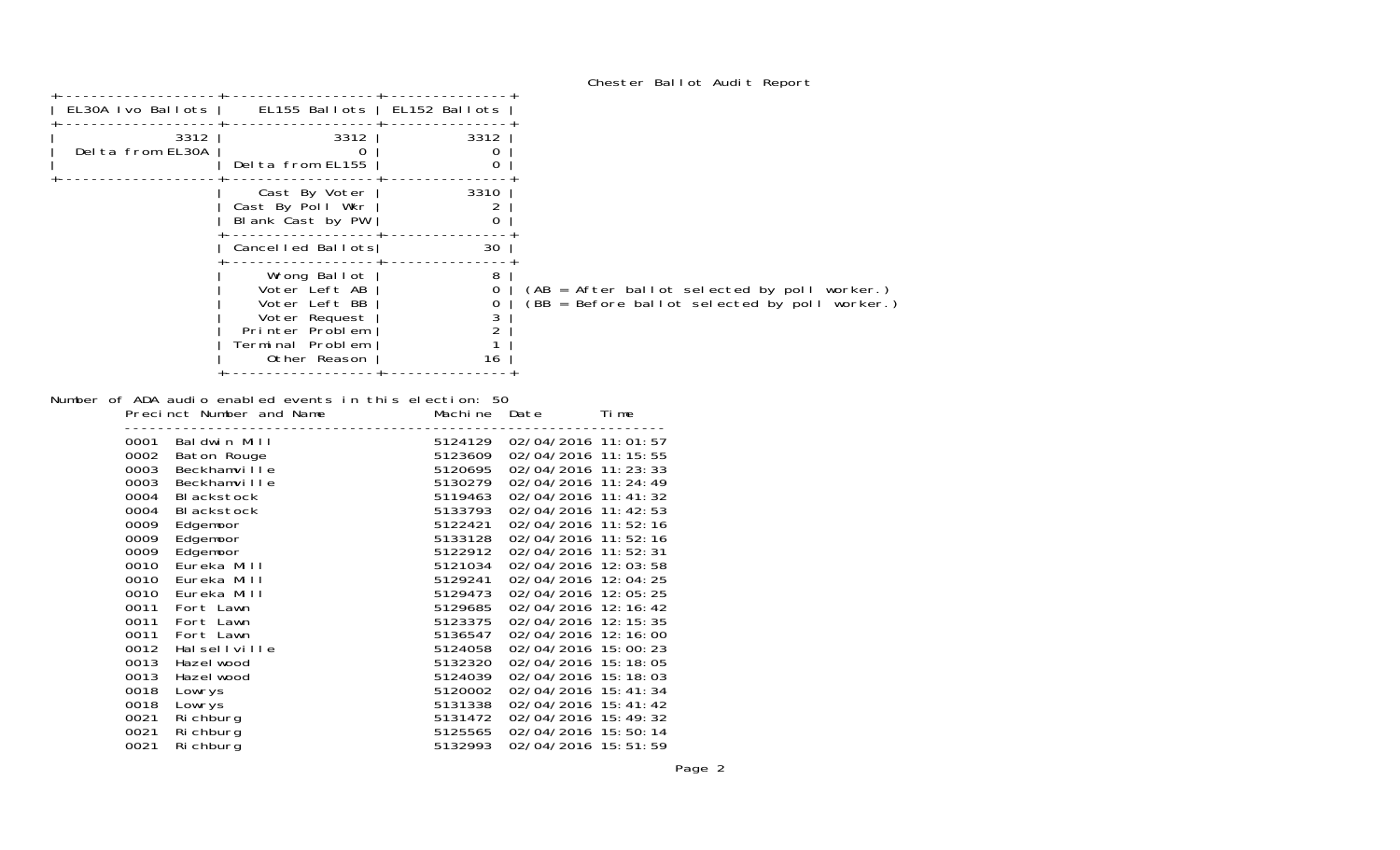| Chester Ballot Audit Report |  |  |  |  |  |
|-----------------------------|--|--|--|--|--|
|-----------------------------|--|--|--|--|--|

| EL30A Ivo Ballots        |                                                                                                                        |           |                                                                                               |
|--------------------------|------------------------------------------------------------------------------------------------------------------------|-----------|-----------------------------------------------------------------------------------------------|
| 3312<br>Delta from EL30A | 3312<br>Delta from EL155                                                                                               | 3312<br>Ω |                                                                                               |
|                          | Cast By Voter<br>Cast By Poll Wkr<br>Blank Cast by PW                                                                  | 3310      |                                                                                               |
|                          |                                                                                                                        | 30        |                                                                                               |
|                          | Wrong Ballot<br>Voter Left AB<br>Voter Left BB<br>Voter Request<br>Printer Problem<br>Terminal Problem<br>Other Reason | 8<br>16   | (AB = After ballot selected by poll worker.)<br>(BB = Before ballot selected by poll worker.) |
|                          |                                                                                                                        |           | EL155 Ballots   EL152 Ballots<br>Cancelled Ballots                                            |

Number of ADA audio enabled events in this election: 50

|      | Precinct Number and Name | Machi ne | Date                  | Ti me |
|------|--------------------------|----------|-----------------------|-------|
| 0001 | Baldwin Mill             | 5124129  | 02/04/2016 11:01:57   |       |
| 0002 | Baton Rouge              | 5123609  | 02/04/2016 11: 15: 55 |       |
| 0003 | Beckhamville             | 5120695  | 02/04/2016 11:23:33   |       |
| 0003 | Beckhamville             | 5130279  | 02/04/2016 11:24:49   |       |
| 0004 | BI ackstock              | 5119463  | 02/04/2016 11:41:32   |       |
| 0004 | BI ackstock              | 5133793  | 02/04/2016 11: 42: 53 |       |
| 0009 | Edgemoor                 | 5122421  | 02/04/2016 11:52:16   |       |
| 0009 | Edgemoor                 | 5133128  | 02/04/2016 11:52:16   |       |
| 0009 | Edgemoor                 | 5122912  | 02/04/2016 11:52:31   |       |
| 0010 | Eureka Mill              | 5121034  | 02/04/2016 12:03:58   |       |
| 0010 | Eureka Mill              | 5129241  | 02/04/2016 12:04:25   |       |
| 0010 | Eureka Mill              | 5129473  | 02/04/2016 12:05:25   |       |
| 0011 | Fort Lawn                | 5129685  | 02/04/2016 12:16:42   |       |
| 0011 | Fort Lawn                | 5123375  | 02/04/2016 12:15:35   |       |
| 0011 | Fort Lawn                | 5136547  | 02/04/2016 12:16:00   |       |
| 0012 | Halsellville             | 5124058  | 02/04/2016 15:00:23   |       |
| 0013 | Hazel wood               | 5132320  | 02/04/2016 15:18:05   |       |
| 0013 | Hazel wood               | 5124039  | 02/04/2016 15:18:03   |       |
| 0018 | Lowrys                   | 5120002  | 02/04/2016 15:41:34   |       |
| 0018 | Lowrys                   | 5131338  | 02/04/2016 15:41:42   |       |
| 0021 | Ri chburg                | 5131472  | 02/04/2016 15:49:32   |       |
| 0021 | Ri chburg                | 5125565  | 02/04/2016 15:50:14   |       |
| 0021 | Ri chburg                | 5132993  | 02/04/2016 15:51:59   |       |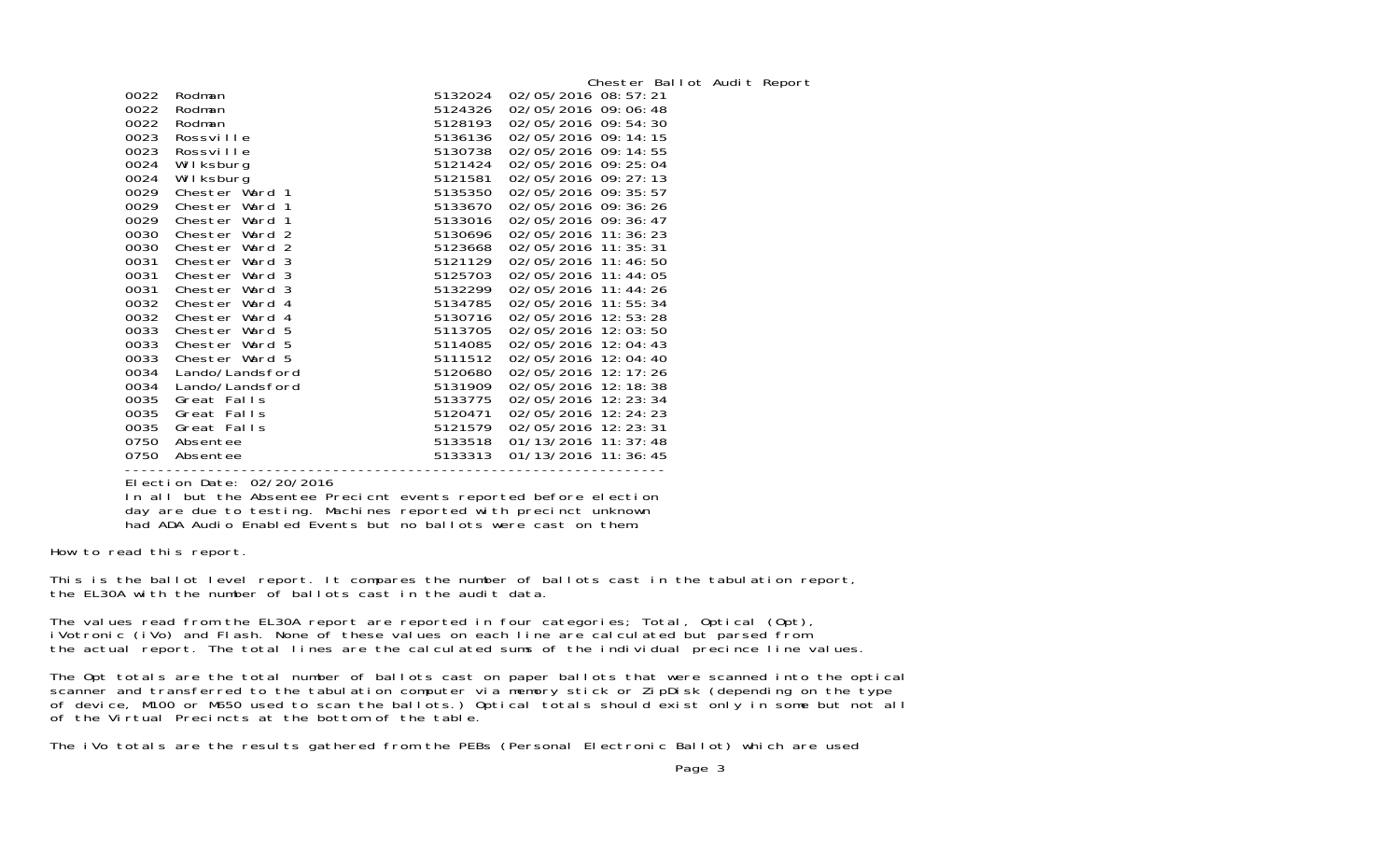| 0022<br>0022<br>0022<br>0023<br>0023<br>0024<br>0024<br>0029<br>0029<br>0029<br>0030<br>0030<br>0031<br>0031<br>0031<br>0032<br>0032<br>0033<br>0033<br>0033<br>0034 | Rodman<br>Rodman<br>Rodman<br>Rossville<br>Rossville<br>Wilksburg<br>Wilksburg<br>Chester Ward 1<br>Chester Ward 1<br>Chester Ward 1<br>Chester Ward 2<br>Chester Ward 2<br>Chester Ward 3<br>Chester Ward 3<br>Chester Ward 3<br>Chester Ward 4<br>Chester Ward 4<br>Chester Ward 5<br>Chester Ward 5<br>Chester Ward 5<br>Lando/Landsford | 5132024<br>5124326<br>5128193<br>5136136<br>5130738<br>5121424<br>5121581<br>5135350<br>5133670<br>5133016<br>5130696<br>5123668<br>5121129<br>5125703<br>5132299<br>5134785<br>5130716<br>5113705<br>5114085<br>5111512<br>5120680 | Chester Ballot Audit Report<br>02/05/2016 08:57:21<br>02/05/2016 09:06:48<br>02/05/2016 09:54:30<br>02/05/2016 09:14:15<br>02/05/2016 09:14:55<br>02/05/2016 09: 25: 04<br>02/05/2016 09: 27: 13<br>02/05/2016 09: 35: 57<br>02/05/2016 09:36:26<br>02/05/2016 09:36:47<br>02/05/2016 11:36:23<br>02/05/2016 11: 35: 31<br>02/05/2016 11:46:50<br>02/05/2016 11:44:05<br>02/05/2016 11:44:26<br>02/05/2016 11:55:34<br>02/05/2016 12:53:28<br>02/05/2016 12:03:50<br>02/05/2016 12:04:43<br>02/05/2016 12:04:40<br>02/05/2016 12:17:26 |
|----------------------------------------------------------------------------------------------------------------------------------------------------------------------|---------------------------------------------------------------------------------------------------------------------------------------------------------------------------------------------------------------------------------------------------------------------------------------------------------------------------------------------|-------------------------------------------------------------------------------------------------------------------------------------------------------------------------------------------------------------------------------------|----------------------------------------------------------------------------------------------------------------------------------------------------------------------------------------------------------------------------------------------------------------------------------------------------------------------------------------------------------------------------------------------------------------------------------------------------------------------------------------------------------------------------------------|
|                                                                                                                                                                      |                                                                                                                                                                                                                                                                                                                                             |                                                                                                                                                                                                                                     |                                                                                                                                                                                                                                                                                                                                                                                                                                                                                                                                        |
| 0034<br>0035<br>0035<br>0035<br>0750<br>0750                                                                                                                         | Lando/Landsford<br>Great Falls<br>Great Falls<br>Great Falls<br>Absentee<br>Absentee                                                                                                                                                                                                                                                        | 5131909<br>5133775<br>5120471<br>5121579<br>5133518<br>5133313                                                                                                                                                                      | 02/05/2016 12:18:38<br>02/05/2016 12:23:34<br>02/05/2016 12: 24: 23<br>02/05/2016 12: 23: 31<br>01/13/2016 11: 37: 48<br>01/13/2016 11:36:45                                                                                                                                                                                                                                                                                                                                                                                           |
|                                                                                                                                                                      |                                                                                                                                                                                                                                                                                                                                             |                                                                                                                                                                                                                                     |                                                                                                                                                                                                                                                                                                                                                                                                                                                                                                                                        |

 ----------------------------------------------------------------- Election Date: 02/20/2016In all but the Absentee Precicnt events reported before election day are due to testing. Machines reported with precinct unknown had ADA Audio Enabled Events but no ballots were cast on them.

How to read this report.

This is the ballot level report. It compares the number of ballots cast in the tabulation report, the EL30A with the number of ballots cast in the audit data.

The values read from the EL30A report are reported in four categories; Total, Optical (Opt), iVotronic (iVo) and Flash. None of these values on each line are calculated but parsed from the actual report. The total lines are the calculated sums of the individual precince line values.

The Opt totals are the total number of ballots cast on paper ballots that were scanned into the optical scanner and transferred to the tabulation computer via memory stick or ZipDisk (depending on the type of device, M100 or M650 used to scan the ballots.) Optical totals should exist only in some but not all of the Virtual Precincts at the bottom of the table.

The iVo totals are the results gathered from the PEBs (Personal Electronic Ballot) which are used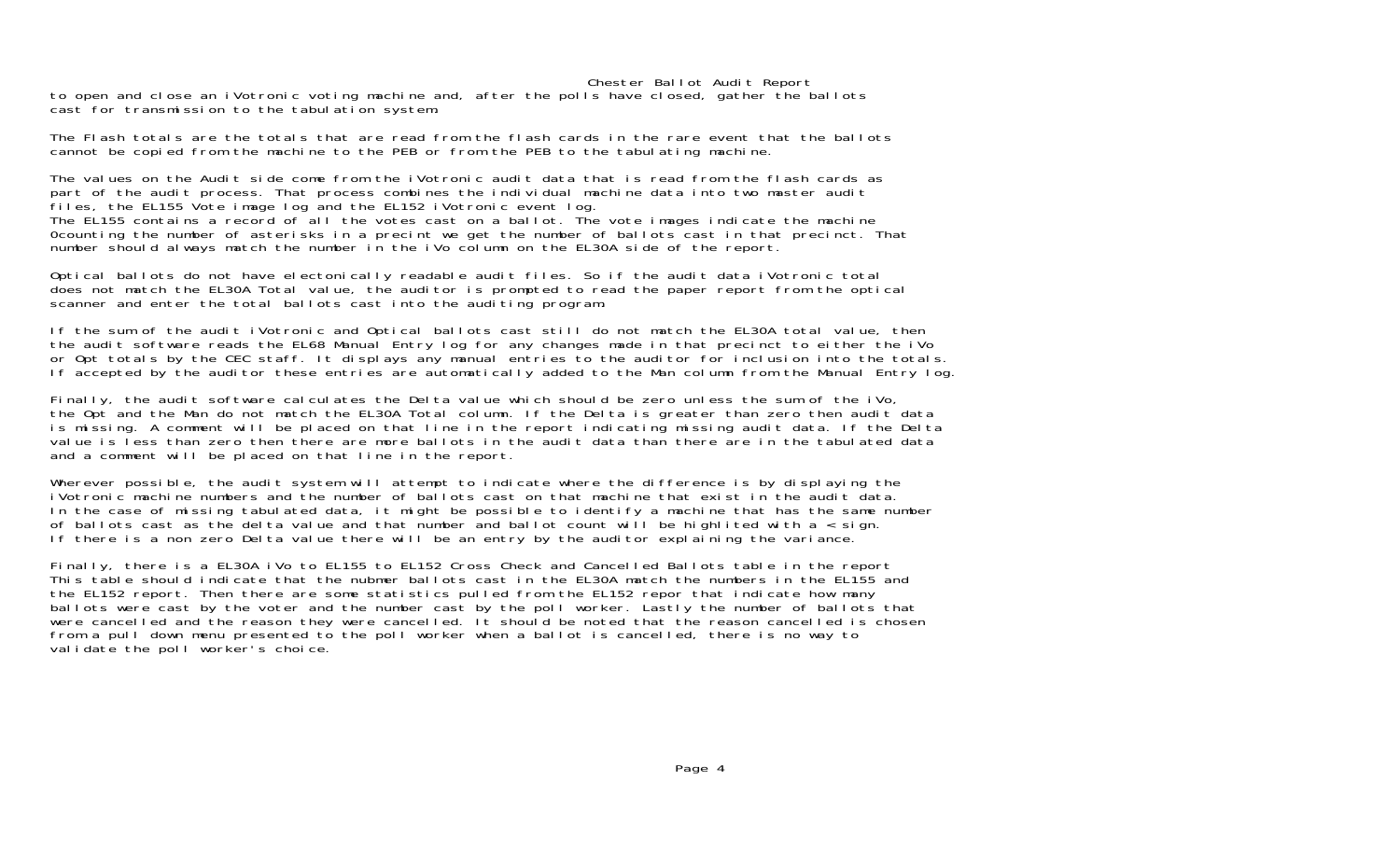#### Chester Ballot Audit Report

to open and close an iVotronic voting machine and, after the polls have closed, gather the ballots cast for transmission to the tabulation system.

The Flash totals are the totals that are read from the flash cards in the rare event that the ballots cannot be copied from the machine to the PEB or from the PEB to the tabulating machine.

The values on the Audit side come from the iVotronic audit data that is read from the flash cards as part of the audit process. That process combines the individual machine data into two master audit files, the EL155 Vote image log and the EL152 iVotronic event log. The EL155 contains a record of all the votes cast on a ballot. The vote images indicate the machine 0counting the number of asterisks in a precint we get the number of ballots cast in that precinct. That number should always match the number in the iVo column on the EL30A side of the report.

Optical ballots do not have electonically readable audit files. So if the audit data iVotronic total does not match the EL30A Total value, the auditor is prompted to read the paper report from the optical scanner and enter the total ballots cast into the auditing program.

If the sum of the audit iVotronic and Optical ballots cast still do not match the EL30A total value, then the audit software reads the EL68 Manual Entry log for any changes made in that precinct to either the iVo or Opt totals by the CEC staff. It displays any manual entries to the auditor for inclusion into the totals. If accepted by the auditor these entries are automatically added to the Man column from the Manual Entry log.

Finally, the audit software calculates the Delta value which should be zero unless the sum of the iVo, the Opt and the Man do not match the EL30A Total column. If the Delta is greater than zero then audit data is missing. A comment will be placed on that line in the report indicating missing audit data. If the Delta value is less than zero then there are more ballots in the audit data than there are in the tabulated data and a comment will be placed on that line in the report.

Wherever possible, the audit system will attempt to indicate where the difference is by displaying the iVotronic machine numbers and the number of ballots cast on that machine that exist in the audit data.In the case of missing tabulated data, it might be possible to identify a machine that has the same number of ballots cast as the delta value and that number and ballot count will be highlited with a < sign. If there is a non zero Delta value there will be an entry by the auditor explaining the variance.

Finally, there is a EL30A iVo to EL155 to EL152 Cross Check and Cancelled Ballots table in the report This table should indicate that the nubmer ballots cast in the EL30A match the numbers in the EL155 and the EL152 report. Then there are some statistics pulled from the EL152 repor that indicate how many ballots were cast by the voter and the number cast by the poll worker. Lastly the number of ballots that were cancelled and the reason they were cancelled. It should be noted that the reason cancelled is chosen from a pull down menu presented to the poll worker when a ballot is cancelled, there is no way to validate the poll worker's choice.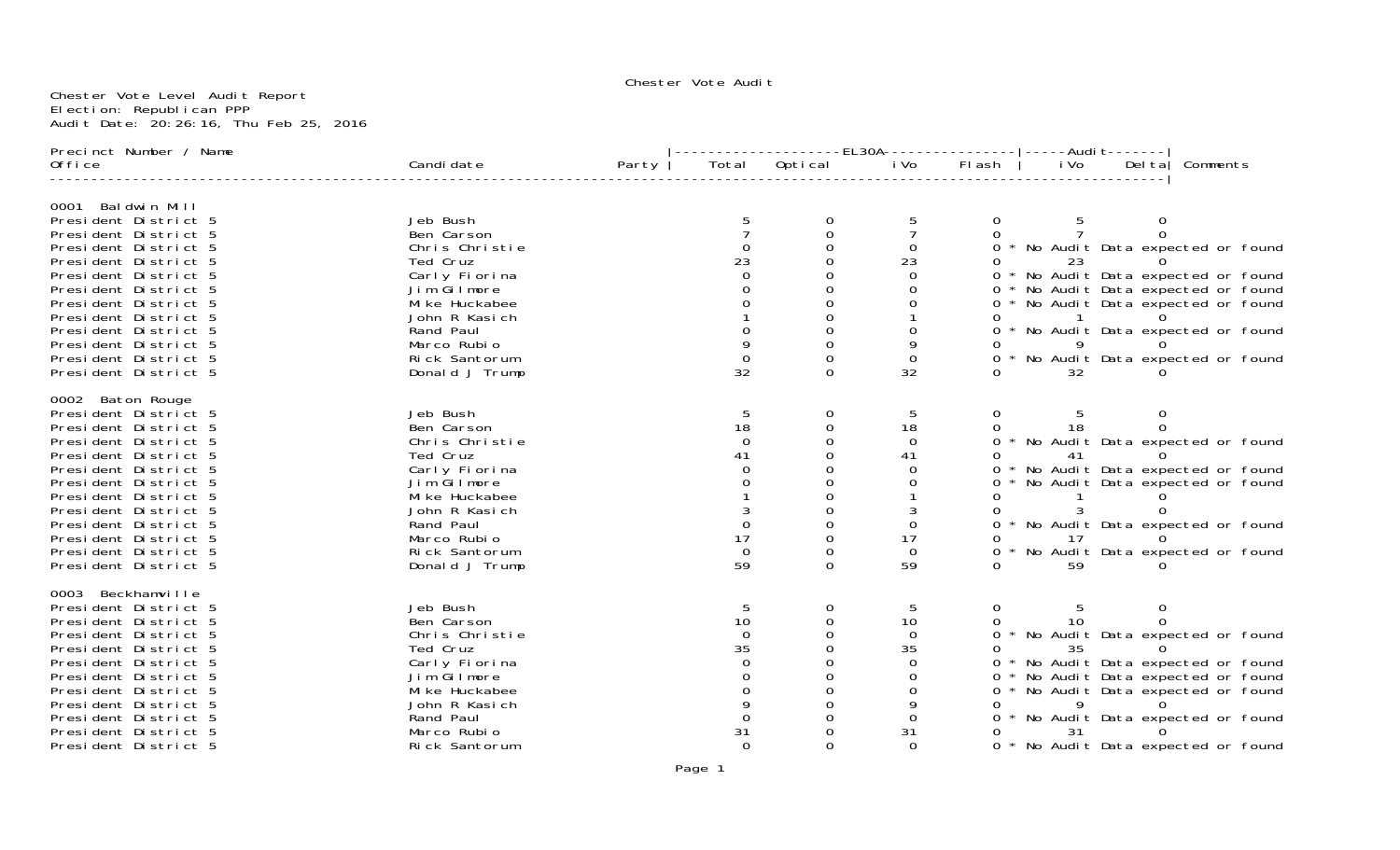## Chester Vote Audi†

#### Chester Vote Level Audit Report Election: Republican PPP Audit Date: 20:26:16, Thu Feb 25, 2016

| Precinct Number / Name                       |                              | -------------EL30A---------------- ----Audit------- |                |               |          |              |      |  |                                     |
|----------------------------------------------|------------------------------|-----------------------------------------------------|----------------|---------------|----------|--------------|------|--|-------------------------------------|
| 0ffice                                       | Candi date                   | Party                                               |                | Total Optical | i Vo     | Flash        | i Vo |  | Delta Comments                      |
| 0001 Baldwin Mill                            |                              |                                                     |                |               |          |              |      |  |                                     |
| President District 5                         | Jeb Bush                     |                                                     |                |               |          |              |      |  |                                     |
| President District 5                         | Ben Carson                   |                                                     |                |               |          |              |      |  |                                     |
| President District 5                         | Chris Christie               |                                                     |                |               | 0        |              |      |  | 0 * No Audit Data expected or found |
| President District 5                         | Ted Cruz                     |                                                     | 23             |               | 23       |              | 23   |  |                                     |
| President District 5                         | Carly Fiorina                |                                                     |                |               |          |              |      |  | * No Audit Data expected or found   |
| President District 5                         | Jim Gilmore                  |                                                     |                |               | Ω        | 0            |      |  | * No Audit Data expected or found   |
| President District 5                         | Mi ke Huckabee               |                                                     |                |               |          | 0            |      |  | * No Audit Data expected or found   |
| President District 5                         | John R Kasich                |                                                     |                |               |          |              |      |  |                                     |
| President District 5                         | Rand Paul                    |                                                     |                |               | Ω        | $\Omega$     |      |  | * No Audit Data expected or found   |
| President District 5                         | Marco Rubio                  |                                                     |                |               | 9        |              |      |  |                                     |
| President District 5                         | Rick Santorum                |                                                     |                |               | 0        |              |      |  | * No Audit Data expected or found   |
| President District 5                         | Donald J Trump               |                                                     | 32             | ∩             | 32       |              | 32   |  |                                     |
| 0002 Baton Rouge                             |                              |                                                     |                |               |          |              |      |  |                                     |
| President District 5                         | Jeb Bush                     |                                                     | 5              | 0             | 5        | 0            |      |  |                                     |
| President District 5                         | Ben Carson                   |                                                     | 18             |               | 18       |              | 18   |  |                                     |
| President District 5                         | Chris Christie               |                                                     | 0              |               | $\Omega$ | $\Omega$     |      |  | * No Audit Data expected or found   |
| President District 5                         | Ted Cruz                     |                                                     | 41             |               | 41       |              | 41   |  |                                     |
| President District 5                         | Carly Fiorina                |                                                     |                |               | 0        |              |      |  | * No Audit Data expected or found   |
| President District 5                         | Jim Gilmore                  |                                                     |                |               | ∩        |              |      |  | * No Audit Data expected or found   |
| President District 5                         | Mi ke Huckabee               |                                                     |                |               |          |              |      |  |                                     |
| President District 5                         | John R Kasich                |                                                     |                |               |          |              |      |  |                                     |
| President District 5                         | Rand Paul<br>Marco Rubio     |                                                     | 17             |               | 0        |              |      |  | * No Audit Data expected or found   |
| President District 5                         |                              |                                                     |                |               | 17       |              | 17   |  |                                     |
| President District 5                         | Rick Santorum                |                                                     | $\Omega$<br>59 | 0             | 0        |              |      |  | * No Audit Data expected or found   |
| President District 5                         | Donald J Trump               |                                                     |                |               | 59       |              | 59   |  |                                     |
| 0003 Beckhamville                            |                              |                                                     |                | 0             |          |              |      |  |                                     |
| President District 5                         | Jeb Bush                     |                                                     | 5<br>10        |               | 5        | 0            | 10   |  |                                     |
| President District 5                         | Ben Carson<br>Chris Christie |                                                     | $\Omega$       |               | 10       | 0            |      |  |                                     |
| President District 5                         |                              |                                                     | 35             |               | 0<br>35  | <sup>0</sup> |      |  | * No Audit Data expected or found   |
| President District 5                         | Ted Cruz<br>Carly Fiorina    |                                                     |                |               | 0        |              | 35   |  | * No Audit Data expected or found   |
| President District 5<br>President District 5 | Jim Gilmore                  |                                                     |                |               | 0        | 0            |      |  | * No Audit Data expected or found   |
| President District 5                         | Mi ke Huckabee               |                                                     |                |               | 0        | 0            |      |  | * No Audit Data expected or found   |
| President District 5                         | John R Kasich                |                                                     |                |               | 9        |              |      |  |                                     |
| President District 5                         | Rand Paul                    |                                                     |                |               | 0        |              |      |  | * No Audit Data expected or found   |
| President District 5                         | Marco Rubio                  |                                                     | 31             |               | 31       |              | 31   |  |                                     |
| President District 5                         | Rick Santorum                |                                                     | $\Omega$       |               | $\Omega$ |              |      |  | 0 * No Audit Data expected or found |
|                                              |                              |                                                     |                |               |          |              |      |  |                                     |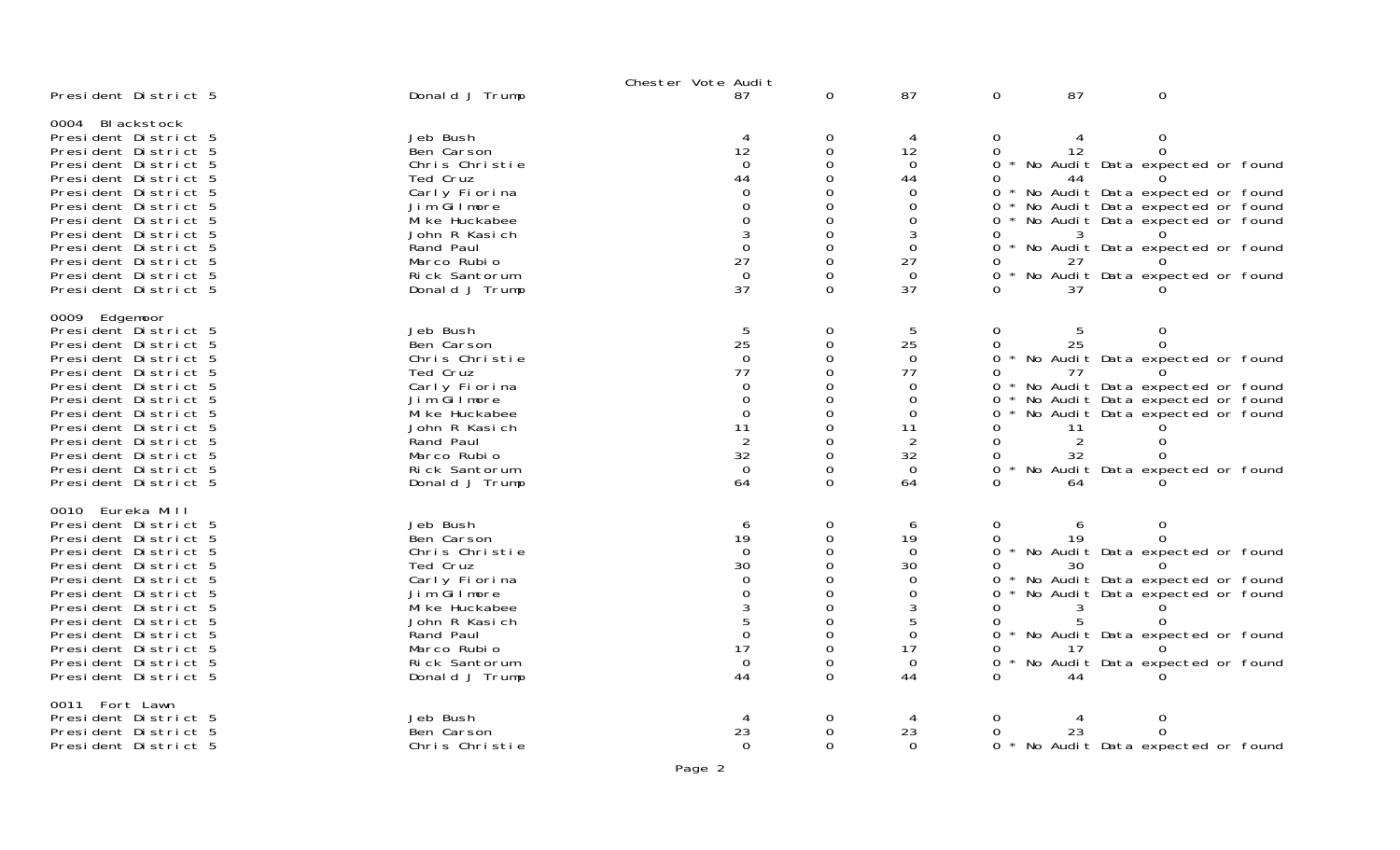|                                                                                                                                                                                                                                                                                                                  |                                                                                                                                                                                        | Chester Vote Audit                                                                          |                                                                        |                                                                                              |                                                            |                                       |                                                                                                                                                                                                                                |  |
|------------------------------------------------------------------------------------------------------------------------------------------------------------------------------------------------------------------------------------------------------------------------------------------------------------------|----------------------------------------------------------------------------------------------------------------------------------------------------------------------------------------|---------------------------------------------------------------------------------------------|------------------------------------------------------------------------|----------------------------------------------------------------------------------------------|------------------------------------------------------------|---------------------------------------|--------------------------------------------------------------------------------------------------------------------------------------------------------------------------------------------------------------------------------|--|
| President District 5                                                                                                                                                                                                                                                                                             | Donald J Trump                                                                                                                                                                         | 87                                                                                          | $\mathbf 0$                                                            | 87                                                                                           | $\overline{0}$                                             | 87                                    | $\mathbf 0$                                                                                                                                                                                                                    |  |
| 0004 Blackstock<br>President District 5<br>President District 5<br>President District 5<br>President District 5<br>President District 5<br>President District 5<br>President District 5<br>President District 5<br>President District 5<br>President District 5<br>President District 5<br>President District 5  | Jeb Bush<br>Ben Carson<br>Chris Christie<br>Ted Cruz<br>Carly Fiorina<br>Jim Gilmore<br>Mi ke Huckabee<br>John R Kasich<br>Rand Paul<br>Marco Rubio<br>Rick Santorum<br>Donald J Trump | 12<br>$\Omega$<br>44<br>0<br>0<br>0<br>3<br>$\Omega$<br>27<br>$\mathbf 0$<br>37             | 0<br>0<br>0<br>0<br>0<br>0<br>0<br>0<br>0<br>0<br>0<br>0               | 4<br>12<br>$\Omega$<br>44<br>$\Omega$<br>0<br>0<br>3<br>$\Omega$<br>27<br>$\Omega$<br>37     | 0<br>0<br>0<br>0<br>0<br>0<br>0<br>O.<br>0<br>O.<br>0<br>∩ | 12<br>44<br>27<br>37                  | 0<br>0<br>No Audit Data expected or found<br>* No Audit Data expected or found<br>* No Audit Data expected or found<br>No Audit Data expected or found<br>* No Audit Data expected or found<br>No Audit Data expected or found |  |
| 0009 Edgemoor<br>President District 5<br>President District 5<br>President District 5<br>President District 5<br>President District 5<br>President District 5<br>President District 5<br>President District 5<br>President District 5<br>President District 5<br>President District 5<br>President District 5    | Jeb Bush<br>Ben Carson<br>Chris Christie<br>Ted Cruz<br>Carly Fiorina<br>Jim Gilmore<br>Mi ke Huckabee<br>John R Kasich<br>Rand Paul<br>Marco Rubio<br>Rick Santorum<br>Donald J Trump | 5<br>25<br>$\Omega$<br>77<br>$\Omega$<br>0<br>$\Omega$<br>11<br>2<br>32<br>$\Omega$<br>64   | 0<br>0<br>0<br>0<br>0<br>0<br>0<br>$\Omega$<br>0<br>$\Omega$<br>0<br>0 | 5<br>25<br>$\Omega$<br>77<br>$\Omega$<br>$\mathbf 0$<br>0<br>11<br>2<br>32<br>$\Omega$<br>64 | 0<br>0<br>0<br>0<br>0<br>0<br>0<br>0<br>0<br>0<br>0<br>∩   | 5<br>25<br>77<br>-11<br>2<br>32<br>64 | $\Omega$<br>* No Audit Data expected or found<br>* No Audit Data expected or found<br>No Audit Data expected or found<br>No Audit Data expected or found<br>No Audit Data expected or found                                    |  |
| 0010 Eureka Mill<br>President District 5<br>President District 5<br>President District 5<br>President District 5<br>President District 5<br>President District 5<br>President District 5<br>President District 5<br>President District 5<br>President District 5<br>President District 5<br>President District 5 | Jeb Bush<br>Ben Carson<br>Chris Christie<br>Ted Cruz<br>Carly Fiorina<br>Jim Gilmore<br>Mi ke Huckabee<br>John R Kasich<br>Rand Paul<br>Marco Rubio<br>Rick Santorum<br>Donald J Trump | 6<br>19<br>$\Omega$<br>30<br>$\Omega$<br>0<br>3<br>5<br>$\Omega$<br>17<br>$\mathbf 0$<br>44 | 0<br>0<br>0<br>0<br>O<br>O<br>0<br>O<br>0<br>0<br>0<br>$\Omega$        | 6<br>19<br>$\mathbf 0$<br>30<br>$\mathbf 0$<br>0<br>3<br>5<br>0<br>17<br>$\mathbf 0$<br>44   | 0<br>0<br>0<br>0<br>0<br>0<br>∩<br>0<br>0<br>0             | 6<br>19<br>30<br>5<br>44              | 0<br>No Audit Data expected or found<br>No Audit Data expected or found<br>No Audit Data expected or found<br>No Audit Data expected or found<br>No Audit Data expected or found                                               |  |
| Fort Lawn<br>0011<br>President District 5<br>President District 5<br>President District 5                                                                                                                                                                                                                        | Jeb Bush<br>Ben Carson<br>Chris Christie                                                                                                                                               | 23<br>$\Omega$                                                                              | 0<br>0<br>0                                                            | 23<br>$\Omega$                                                                               | 0<br>0                                                     | 23                                    | 0<br>0<br>0 * No Audit Data expected or found                                                                                                                                                                                  |  |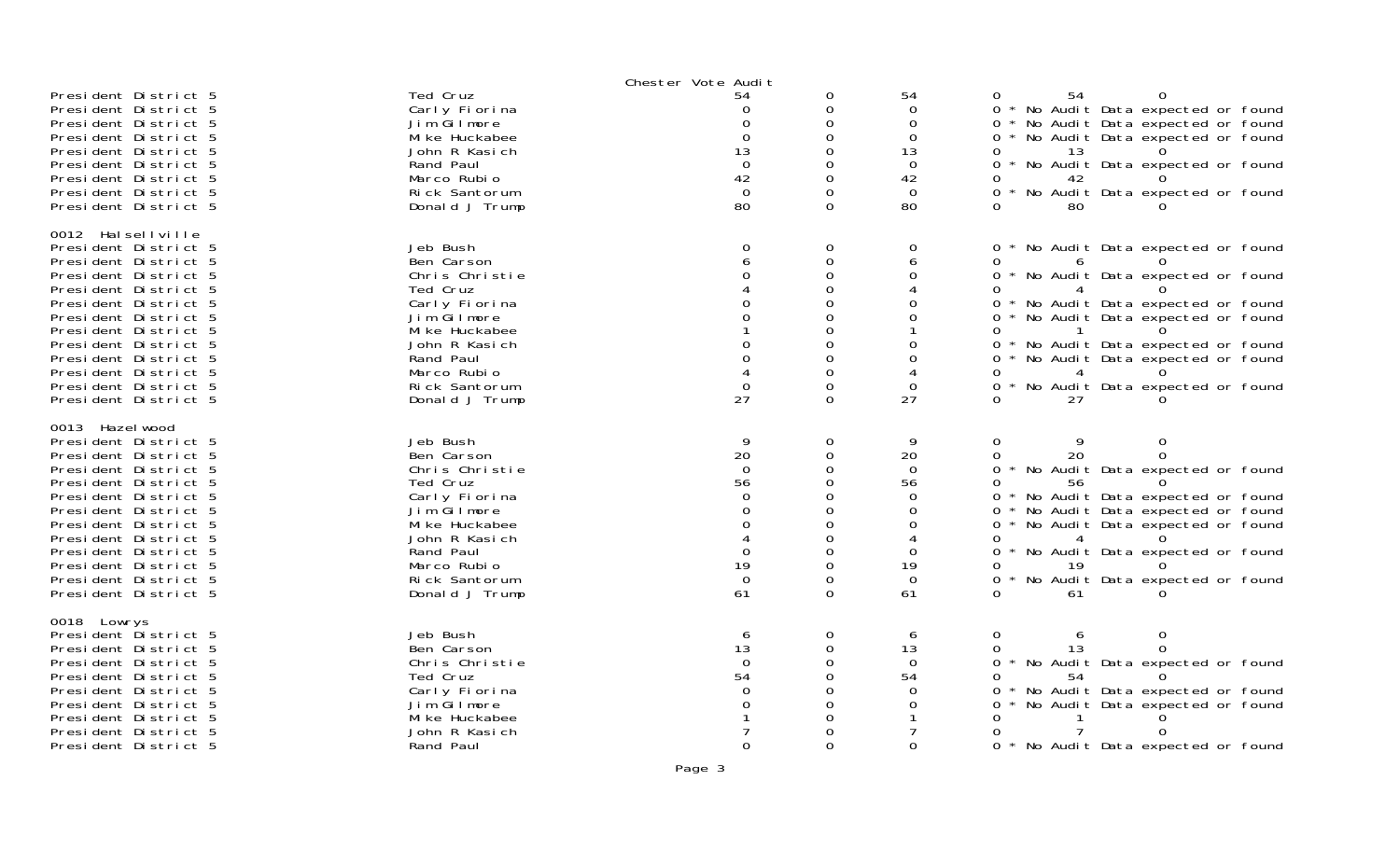|                                                                                                                                                                                                                                                                                                                   |                                                                                                                                                                                        | Chester Vote Audit                                                                         |                                                                                  |                                                                                                         |                                                                                                                                                                                                                                                                                                                                                           |
|-------------------------------------------------------------------------------------------------------------------------------------------------------------------------------------------------------------------------------------------------------------------------------------------------------------------|----------------------------------------------------------------------------------------------------------------------------------------------------------------------------------------|--------------------------------------------------------------------------------------------|----------------------------------------------------------------------------------|---------------------------------------------------------------------------------------------------------|-----------------------------------------------------------------------------------------------------------------------------------------------------------------------------------------------------------------------------------------------------------------------------------------------------------------------------------------------------------|
| President District 5<br>President District 5<br>President District 5<br>President District 5<br>President District 5<br>President District 5<br>President District 5<br>President District 5<br>President District 5                                                                                              | Ted Cruz<br>Carly Fiorina<br>Jim Gilmore<br>Mi ke Huckabee<br>John R Kasich<br>Rand Paul<br>Marco Rubio<br>Rick Santorum<br>Donald J Trump                                             | 54<br>$\Omega$<br>0<br>$\Omega$<br>13<br>$\Omega$<br>42<br>$\Omega$<br>80                  | 0<br>0<br>0<br>$\Omega$<br>0<br>0<br>0<br>0<br>$\Omega$                          | 54<br>$\Omega$<br>0<br>$\Omega$<br>13<br>$\Omega$<br>42<br>$\Omega$<br>80                               | 54<br>$\Omega$<br>0<br>* No Audit Data expected or found<br>$\Omega$<br>* No Audit Data expected or found<br>No Audit Data expected or found<br>13<br>No Audit Data expected or found<br>0<br>42<br>$\Omega$<br>No Audit Data expected or found<br>80<br>∩                                                                                                |
| 0012 Halsellville<br>President District 5<br>President District 5<br>President District 5<br>President District 5<br>President District 5<br>President District 5<br>President District 5<br>President District 5<br>President District 5<br>President District 5<br>President District 5<br>President District 5 | Jeb Bush<br>Ben Carson<br>Chris Christie<br>Ted Cruz<br>Carly Fiorina<br>Jim Gilmore<br>Mi ke Huckabee<br>John R Kasich<br>Rand Paul<br>Marco Rubio<br>Rick Santorum<br>Donald J Trump | $\Omega$<br>6<br>0<br>0<br>0<br>0<br>0<br>27                                               | 0<br>$\mathbf 0$<br>0<br>0<br>0<br>0<br>0<br>0<br>0<br>0<br>0<br>$\Omega$        | 0<br>6<br>0<br>0<br>0<br>0<br>0<br>$\mathbf 0$<br>27                                                    | * No Audit Data expected or found<br>0<br>$\Omega$<br>* No Audit Data expected or found<br>0<br>* No Audit Data expected or found<br>* No Audit Data expected or found<br>0<br>* No Audit Data expected or found<br>* No Audit Data expected or found<br>0<br>No Audit Data expected or found<br>27                                                       |
| 0013 Hazel wood<br>President District 5<br>President District 5<br>President District 5<br>President District 5<br>President District 5<br>President District 5<br>President District 5<br>President District 5<br>President District 5<br>President District 5<br>President District 5<br>President District 5   | Jeb Bush<br>Ben Carson<br>Chris Christie<br>Ted Cruz<br>Carly Fiorina<br>Jim Gilmore<br>Mi ke Huckabee<br>John R Kasich<br>Rand Paul<br>Marco Rubio<br>Rick Santorum<br>Donald J Trump | 9<br>20<br>$\Omega$<br>56<br>$\Omega$<br>$\Omega$<br>0<br>$\Omega$<br>19<br>$\Omega$<br>61 | $\mathbf 0$<br>0<br>0<br>0<br>0<br>0<br>O<br>0<br>0<br>$\Omega$<br>0<br>$\Omega$ | 9<br>20<br>$\Omega$<br>56<br>$\Omega$<br>$\Omega$<br>$\Omega$<br>$\Omega$<br>19<br>$\overline{0}$<br>61 | $\Omega$<br>$\Omega$<br>9<br>20<br>$\Omega$<br>0<br>$\Omega$<br>* No Audit Data expected or found<br>0<br>56<br>* No Audit Data expected or found<br>$\Omega$<br>* No Audit Data expected or found<br>0<br>$\Omega$<br>No Audit Data expected or found<br>* No Audit Data expected or found<br>0<br>0<br>19<br>No Audit Data expected or found<br>0<br>61 |
| 0018 Lowrys<br>President District 5<br>President District 5<br>President District 5<br>President District 5<br>President District 5<br>President District 5<br>President District 5<br>President District 5<br>President District 5                                                                               | Jeb Bush<br>Ben Carson<br>Chris Christie<br>Ted Cruz<br>Carly Fiorina<br>Jim Gilmore<br>Mi ke Huckabee<br>John R Kasich<br>Rand Paul                                                   | 6<br>13<br>$\Omega$<br>54<br>$\Omega$<br>O<br>0                                            | 0<br>0<br>0<br>0<br>0<br>0<br>0<br>O<br>0                                        | 6<br>13<br>$\mathbf 0$<br>54<br>0<br>$\Omega$<br>$\Omega$                                               | $\overline{0}$<br>0<br>6<br>13<br>0<br>$\star$<br>No Audit Data expected or found<br>54<br>0<br>No Audit Data expected or found<br>No Audit Data expected or found<br>0<br>0<br>$\Omega$<br>* No Audit Data expected or found                                                                                                                             |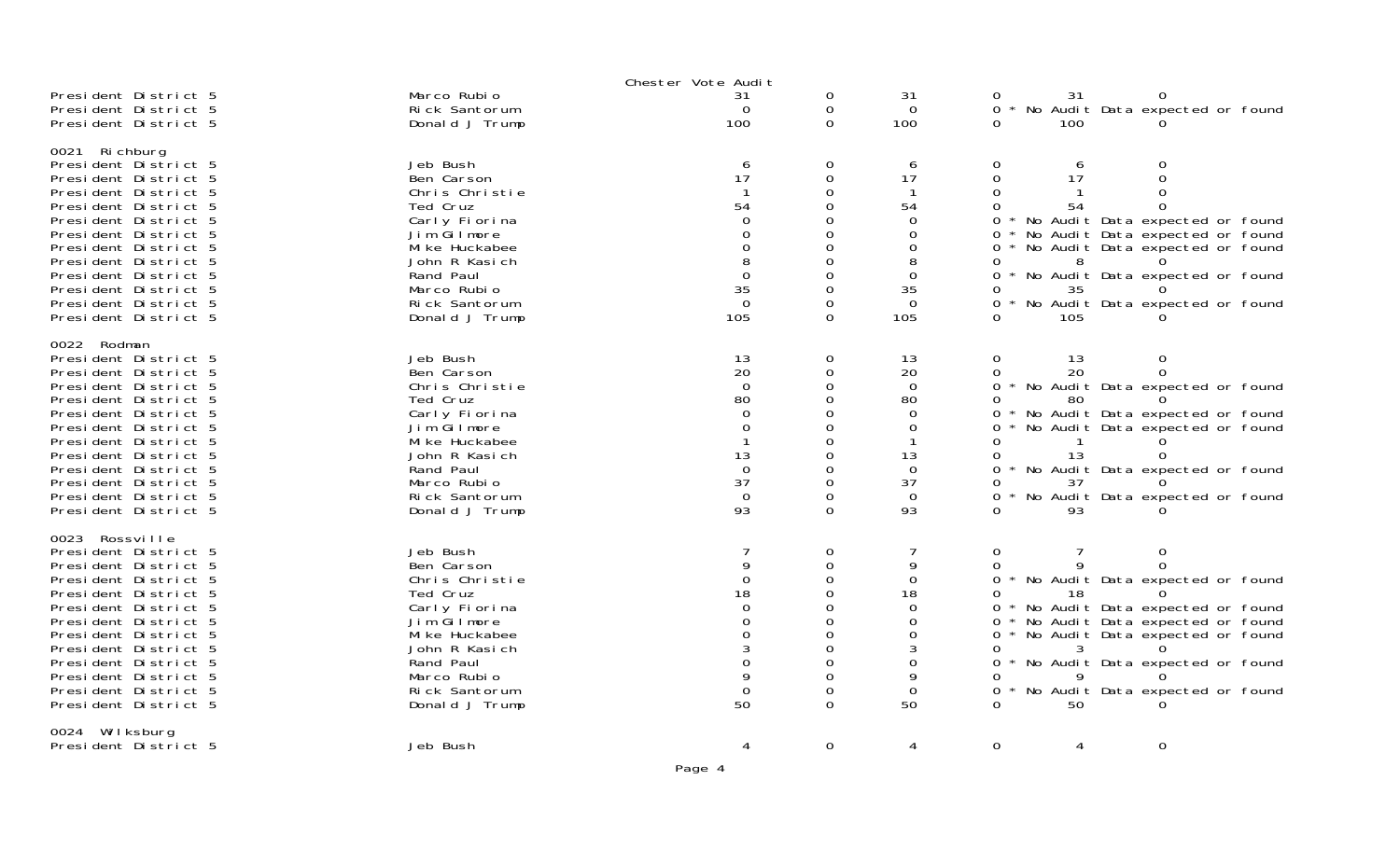|                                                                                                                                                                                                                                                                                                                |                                                                                                                                                                                        | Chester Vote Audit                                                                           |                                                                               |                                                                                                                      |                                                                                 |                                  |                                                                                                                                                                                                                                               |  |
|----------------------------------------------------------------------------------------------------------------------------------------------------------------------------------------------------------------------------------------------------------------------------------------------------------------|----------------------------------------------------------------------------------------------------------------------------------------------------------------------------------------|----------------------------------------------------------------------------------------------|-------------------------------------------------------------------------------|----------------------------------------------------------------------------------------------------------------------|---------------------------------------------------------------------------------|----------------------------------|-----------------------------------------------------------------------------------------------------------------------------------------------------------------------------------------------------------------------------------------------|--|
| President District 5<br>President District 5<br>President District 5                                                                                                                                                                                                                                           | Marco Rubio<br>Rick Santorum<br>Donald J Trump                                                                                                                                         | 31<br>$\Omega$<br>100                                                                        | 0<br>0<br>0                                                                   | 31<br>$\Omega$<br>100                                                                                                | 0<br>$\Omega$<br>$\star$<br>$\Omega$                                            | 31<br>100                        | 0<br>No Audit Data expected or found                                                                                                                                                                                                          |  |
| 0021 Richburg<br>President District 5<br>President District 5<br>President District 5<br>President District 5<br>President District 5<br>President District 5<br>President District 5<br>President District 5<br>President District 5<br>President District 5<br>President District 5<br>President District 5  | Jeb Bush<br>Ben Carson<br>Chris Christie<br>Ted Cruz<br>Carly Fiorina<br>Jim Gilmore<br>Mi ke Huckabee<br>John R Kasich<br>Rand Paul<br>Marco Rubio<br>Rick Santorum<br>Donald J Trump | 6<br>17<br>54<br>$\Omega$<br>0<br>0<br>8<br>$\Omega$<br>35<br>$\Omega$<br>105                | 0<br>0<br>0<br>0<br>0<br>0<br>0<br>0<br>0<br>0<br>0<br>$\Omega$               | 6<br>17<br>-1<br>54<br>$\Omega$<br>0<br>$\Omega$<br>8<br>$\Omega$<br>35<br>$\Omega$<br>105                           | 0<br>0<br>$\Omega$<br>0<br>0<br>0<br>0<br>0<br>0<br>O<br>0                      | 6<br>17<br>54<br>8<br>35<br>105  | $\Omega$<br>$\Omega$<br>$\Omega$<br>* No Audit Data expected or found<br>* No Audit Data expected or found<br>* No Audit Data expected or found<br>* No Audit Data expected or found<br>$\Omega$<br>* No Audit Data expected or found         |  |
| 0022 Rodman<br>President District 5<br>President District 5<br>President District 5<br>President District 5<br>President District 5<br>President District 5<br>President District 5<br>President District 5<br>President District 5<br>President District 5<br>President District 5<br>President District 5    | Jeb Bush<br>Ben Carson<br>Chris Christie<br>Ted Cruz<br>Carly Fiorina<br>Jim Gilmore<br>Mi ke Huckabee<br>John R Kasich<br>Rand Paul<br>Marco Rubio<br>Rick Santorum<br>Donald J Trump | 13<br>20<br>$\Omega$<br>80<br>$\Omega$<br>$\Omega$<br>13<br>$\Omega$<br>37<br>$\Omega$<br>93 | 0<br>$\Omega$<br>0<br>0<br>0<br>0<br>0<br>0<br>0<br>$\Omega$<br>0<br>$\Omega$ | 13<br>20<br>$\overline{0}$<br>80<br>$\Omega$<br>$\Omega$<br>-1<br>13<br>$\overline{0}$<br>37<br>$\overline{0}$<br>93 | $\mathbf 0$<br>$\Omega$<br>0<br>0<br>0<br>0<br>0<br>0<br>0<br>0<br><sup>n</sup> | 13<br>20<br>80<br>13<br>37<br>93 | $\mathbf 0$<br>$\Omega$<br>* No Audit Data expected or found<br>* No Audit Data expected or found<br>* No Audit Data expected or found<br>0<br>* No Audit Data expected or found<br>No Audit Data expected or found                           |  |
| 0023 Rossville<br>President District 5<br>President District 5<br>President District 5<br>President District 5<br>President District 5<br>President District 5<br>President District 5<br>President District 5<br>President District 5<br>President District 5<br>President District 5<br>President District 5 | Jeb Bush<br>Ben Carson<br>Chris Christie<br>Ted Cruz<br>Carly Fiorina<br>Jim Gilmore<br>Mi ke Huckabee<br>John R Kasich<br>Rand Paul<br>Marco Rubio<br>Rick Santorum<br>Donald J Trump | 9<br>$\Omega$<br>18<br>0<br>0<br>0<br>3<br>0<br>9<br>$\mathbf 0$<br>50                       | 0<br>$\Omega$<br>0<br>0<br>0<br>0<br>0<br>0<br>0<br>0<br>0<br>$\Omega$        | $\overline{7}$<br>9<br>0<br>18<br>$\mathbf 0$<br>$\Omega$<br>$\Omega$<br>3<br>0<br>9<br>$\Omega$<br>50               | $\mathbf 0$<br>0<br>0<br>0<br>0<br>0<br>0<br>0<br>0<br>0                        | a<br>18<br>50                    | $\mathbf 0$<br>0 * No Audit Data expected or found<br>* No Audit Data expected or found<br>* No Audit Data expected or found<br>* No Audit Data expected or found<br>0 * No Audit Data expected or found<br>* No Audit Data expected or found |  |
| 0024 Wilksburg<br>President District 5                                                                                                                                                                                                                                                                         | Jeb Bush                                                                                                                                                                               | 4                                                                                            | $\Omega$                                                                      | 4                                                                                                                    | $\Omega$                                                                        | 4                                | $\mathbf 0$                                                                                                                                                                                                                                   |  |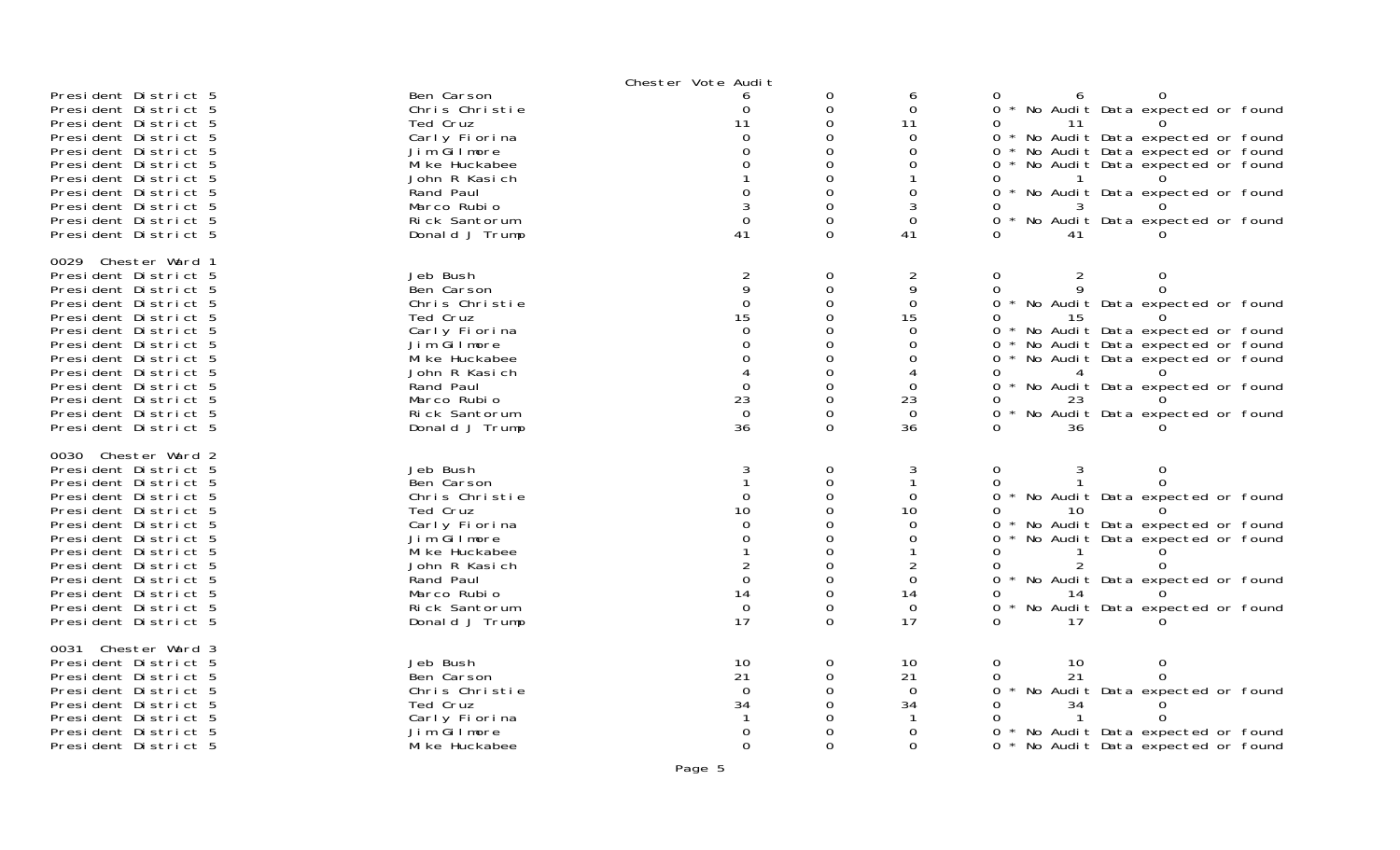|                      |                | Chester Vote Audit |          |                |                                                        |
|----------------------|----------------|--------------------|----------|----------------|--------------------------------------------------------|
| President District 5 | Ben Carson     |                    |          | 6              |                                                        |
| President District 5 | Chris Christie |                    | ∩        | $\Omega$       | * No Audit Data expected or found                      |
| President District 5 | Ted Cruz       | 11                 | 0        | 11             | 11                                                     |
| President District 5 | Carly Fiorina  |                    |          | 0              | * No Audit Data expected or found                      |
| President District 5 | Jim Gilmore    |                    |          | $\Omega$       | No Audit Data expected or found<br>0                   |
| President District 5 | Mi ke Huckabee |                    |          |                | * No Audit Data expected or found<br>$\Omega$          |
| President District 5 | John R Kasich  |                    |          |                |                                                        |
| President District 5 | Rand Paul      |                    |          | $\Omega$       | * No Audit Data expected or found<br>$\Omega$          |
| President District 5 | Marco Rubio    |                    |          | 3              |                                                        |
|                      | Rick Santorum  |                    | $\Omega$ |                | $\Omega$                                               |
| President District 5 |                |                    | $\Omega$ | 0              | No Audit Data expected or found                        |
| President District 5 | Donald J Trump | 41                 |          | 41             |                                                        |
| 0029 Chester Ward 1  |                |                    |          |                |                                                        |
| President District 5 | Jeb Bush       | $\overline{a}$     | 0        | $\overline{c}$ | $\overline{2}$<br>0<br>0                               |
| President District 5 | Ben Carson     | 9                  | $\Omega$ | 9              | 0<br>0                                                 |
| President District 5 | Chris Christie | $\overline{0}$     | 0        | $\mathbf{O}$   | * No Audit Data expected or found<br>0                 |
| President District 5 | Ted Cruz       | 15                 |          | 15             | 0                                                      |
|                      |                | ∩                  |          | $\Omega$       |                                                        |
| President District 5 | Carly Fiorina  |                    |          |                | * No Audit Data expected or found<br>0                 |
| President District 5 | Jim Gilmore    |                    |          |                | No Audit Data expected or found<br>$\Omega$            |
| President District 5 | Mi ke Huckabee |                    |          | 0              | * No Audit Data expected or found<br>0                 |
| President District 5 | John R Kasich  |                    |          |                |                                                        |
| President District 5 | Rand Paul      | ∩                  | ∩        | $\Omega$       | No Audit Data expected or found<br>$\Omega$            |
| President District 5 | Marco Rubio    | 23                 |          | 23             | 23                                                     |
| President District 5 | Rick Santorum  | $\Omega$           | $\Omega$ | $\Omega$       | $\star$<br>No Audit Data expected or found<br>$\Omega$ |
| President District 5 | Donald J Trump | 36                 | $\Omega$ | 36             | 36                                                     |
|                      |                |                    |          |                |                                                        |
| 0030 Chester Ward 2  |                |                    |          |                |                                                        |
| President District 5 | Jeb Bush       |                    | 0        |                | $\Omega$                                               |
| President District 5 | Ben Carson     |                    | 0        |                | 0                                                      |
| President District 5 | Chris Christie |                    |          | 0              | No Audit Data expected or found                        |
| President District 5 | Ted Cruz       | 10                 |          | 10             | 10                                                     |
| President District 5 | Carly Fiorina  |                    |          | 0              | * No Audit Data expected or found                      |
| President District 5 | Jim Gilmore    | O                  |          | $\Omega$       | No Audit Data expected or found                        |
| President District 5 | Mi ke Huckabee |                    |          |                |                                                        |
| President District 5 | John R Kasich  |                    |          | 2              |                                                        |
| President District 5 | Rand Paul      | ∩                  |          | $\Omega$       | * No Audit Data expected or found                      |
| President District 5 | Marco Rubio    | 14                 | 0        | 14             |                                                        |
| President District 5 | Rick Santorum  | $\overline{0}$     |          | $\overline{0}$ | No Audit Data expected or found                        |
| President District 5 | Donald J Trump | 17                 | $\Omega$ | 17             | 17                                                     |
|                      |                |                    |          |                |                                                        |
| 0031 Chester Ward 3  |                |                    |          |                |                                                        |
| President District 5 | Jeb Bush       | 10                 | 0        | 10             | $\Omega$<br>$\Omega$<br>10                             |
| President District 5 | Ben Carson     | 21                 | 0        | 21             | 21                                                     |
| President District 5 | Chris Christie | $\Omega$           |          | $\Omega$       | $\star$<br>No Audit Data expected or found<br>0        |
| President District 5 | Ted Cruz       | 34                 |          | 34             | 34                                                     |
| President District 5 | Carly Fiorina  |                    |          |                |                                                        |
| President District 5 | Jim Gilmore    |                    |          | 0              | No Audit Data expected or found                        |
| President District 5 | Mi ke Huckabee | $\Omega$           | $\Omega$ | $\Omega$       | $\Omega$<br>* No Audit Data expected or found          |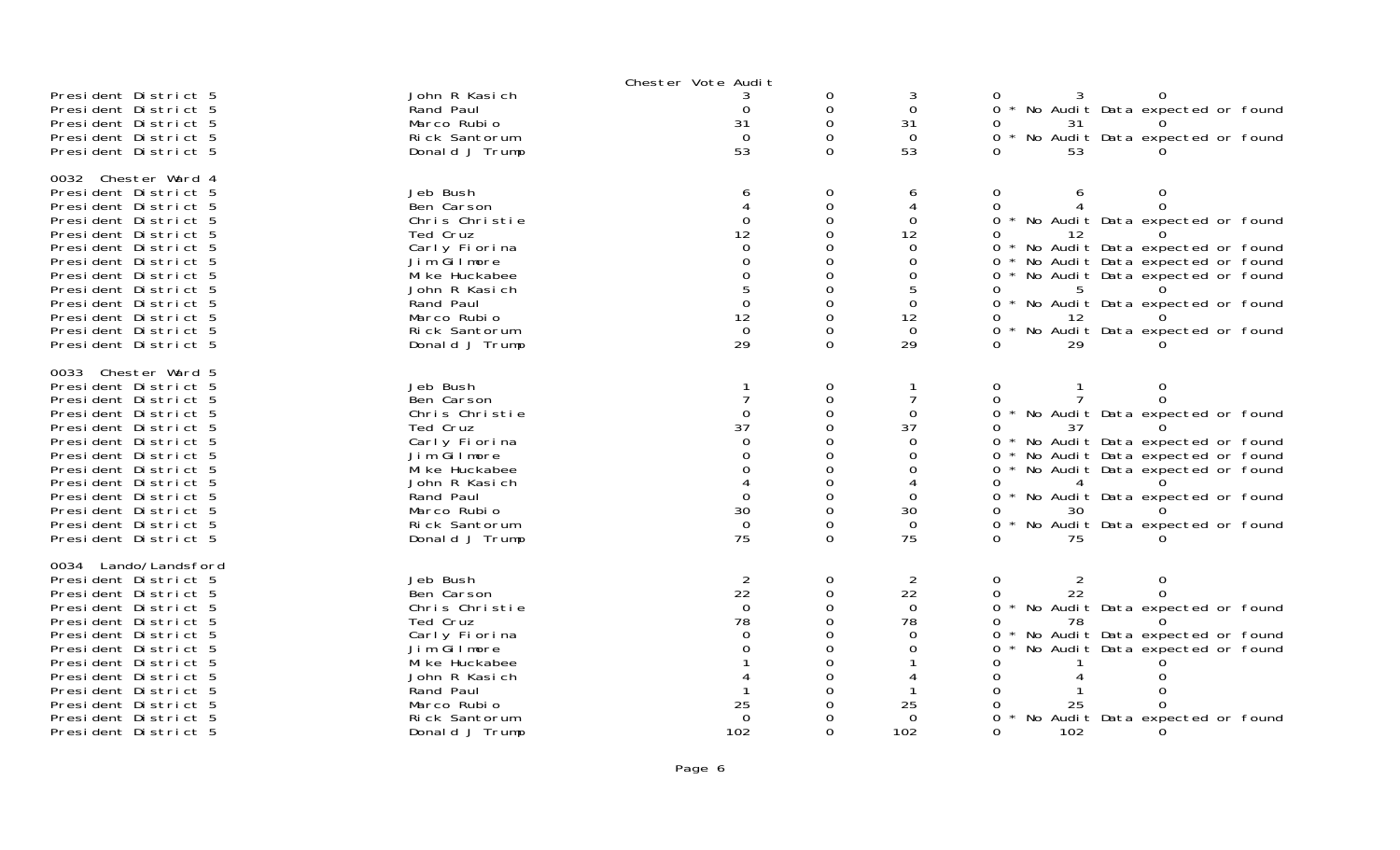|                      |                | Chester Vote Audit |             |             |                                               |  |
|----------------------|----------------|--------------------|-------------|-------------|-----------------------------------------------|--|
| President District 5 | John R Kasich  |                    | 0           | 3           |                                               |  |
| President District 5 | Rand Paul      | 0                  | 0           | 0           | 0 * No Audit Data expected or found           |  |
| President District 5 | Marco Rubio    | 31                 | $\Omega$    | 31          | 31                                            |  |
| President District 5 | Rick Santorum  | $\Omega$           | 0           | $\Omega$    | * No Audit Data expected or found<br>0        |  |
| President District 5 | Donald J Trump | 53                 | $\Omega$    | 53          | 53                                            |  |
|                      |                |                    |             |             |                                               |  |
| 0032 Chester Ward 4  |                |                    |             |             |                                               |  |
| President District 5 | Jeb Bush       |                    | 0           | 6           | 0<br>$\Omega$<br>6                            |  |
| President District 5 | Ben Carson     |                    | 0           | 4           | $\Omega$<br>0                                 |  |
| President District 5 | Chris Christie | $\Omega$           | $\Omega$    | 0           | 0 * No Audit Data expected or found           |  |
| President District 5 | Ted Cruz       | 12                 | 0           | 12          |                                               |  |
|                      |                | 0                  | $\Omega$    | $\Omega$    |                                               |  |
| President District 5 | Carly Fiorina  |                    |             |             | 0 * No Audit Data expected or found           |  |
| President District 5 | Jim Gilmore    | 0                  | 0           | 0           | * No Audit Data expected or found<br>$\Omega$ |  |
| President District 5 | Mi ke Huckabee | $\Omega$           | $\Omega$    | 0           | 0 * No Audit Data expected or found           |  |
| President District 5 | John R Kasich  | 5                  | 0           | 5           | 5<br>0                                        |  |
| President District 5 | Rand Paul      | $\Omega$           |             | $\Omega$    | 0 * No Audit Data expected or found           |  |
| President District 5 | Marco Rubio    | 12                 | 0           | 12          | -12                                           |  |
| President District 5 | Rick Santorum  | $\Omega$           | 0           | $\Omega$    | 0 * No Audit Data expected or found           |  |
| President District 5 | Donald J Trump | 29                 | $\Omega$    | 29          | 29                                            |  |
|                      |                |                    |             |             |                                               |  |
| 0033 Chester Ward 5  |                |                    |             |             |                                               |  |
| President District 5 | Jeb Bush       |                    | $\mathbf 0$ |             | 0<br>$\Omega$                                 |  |
| President District 5 | Ben Carson     |                    | $\Omega$    |             |                                               |  |
| President District 5 | Chris Christie | 0                  | 0           | 0           | 0 * No Audit Data expected or found           |  |
| President District 5 | Ted Cruz       | 37                 |             | 37          | 37<br>0                                       |  |
| President District 5 | Carly Fiorina  |                    | 0           | $\Omega$    | 0 * No Audit Data expected or found           |  |
| President District 5 | Jim Gilmore    |                    | $\Omega$    | 0           | * No Audit Data expected or found<br>0        |  |
| President District 5 | Mi ke Huckabee |                    | $\Omega$    | 0           | 0 * No Audit Data expected or found           |  |
| President District 5 | John R Kasich  |                    | $\Omega$    | 4           | 4<br>0                                        |  |
| President District 5 | Rand Paul      | $\Omega$           | $\Omega$    | $\Omega$    | 0 * No Audit Data expected or found           |  |
| President District 5 | Marco Rubio    | 30                 | 0           | 30          | 30                                            |  |
|                      |                |                    |             |             |                                               |  |
| President District 5 | Rick Santorum  | $\Omega$           |             | $\Omega$    | * No Audit Data expected or found             |  |
| President District 5 | Donald J Trump | 75                 | $\Omega$    | 75          | 75                                            |  |
| 0034 Lando/Landsford |                |                    |             |             |                                               |  |
| President District 5 | Jeb Bush       | $\overline{2}$     | 0           | 2           | $\Omega$<br>2<br>$\Omega$                     |  |
| President District 5 | Ben Carson     | 22                 | 0           | 22          | 22<br>0                                       |  |
| President District 5 | Chris Christie | $\Omega$           | 0           | $\mathbf 0$ | 0 * No Audit Data expected or found           |  |
|                      |                |                    |             |             |                                               |  |
| President District 5 | Ted Cruz       | 78                 | $\Omega$    | 78          | 78<br>0                                       |  |
| President District 5 | Carly Fiorina  | $\Omega$           | 0           | $\Omega$    | * No Audit Data expected or found<br>0        |  |
| President District 5 | Jim Gilmore    |                    |             | 0           | No Audit Data expected or found<br>0          |  |
| President District 5 | Mi ke Huckabee |                    | ი           |             |                                               |  |
| President District 5 | John R Kasich  |                    |             |             |                                               |  |
| President District 5 | Rand Paul      |                    |             |             |                                               |  |
| President District 5 | Marco Rubio    | 25                 |             | 25          | 25                                            |  |
| President District 5 | Rick Santorum  | $\Omega$           |             | 0           | No Audit Data expected or found<br>0          |  |
| President District 5 | Donald J Trump | 102                | $\Omega$    | 102         | 0<br>102                                      |  |
|                      |                |                    |             |             |                                               |  |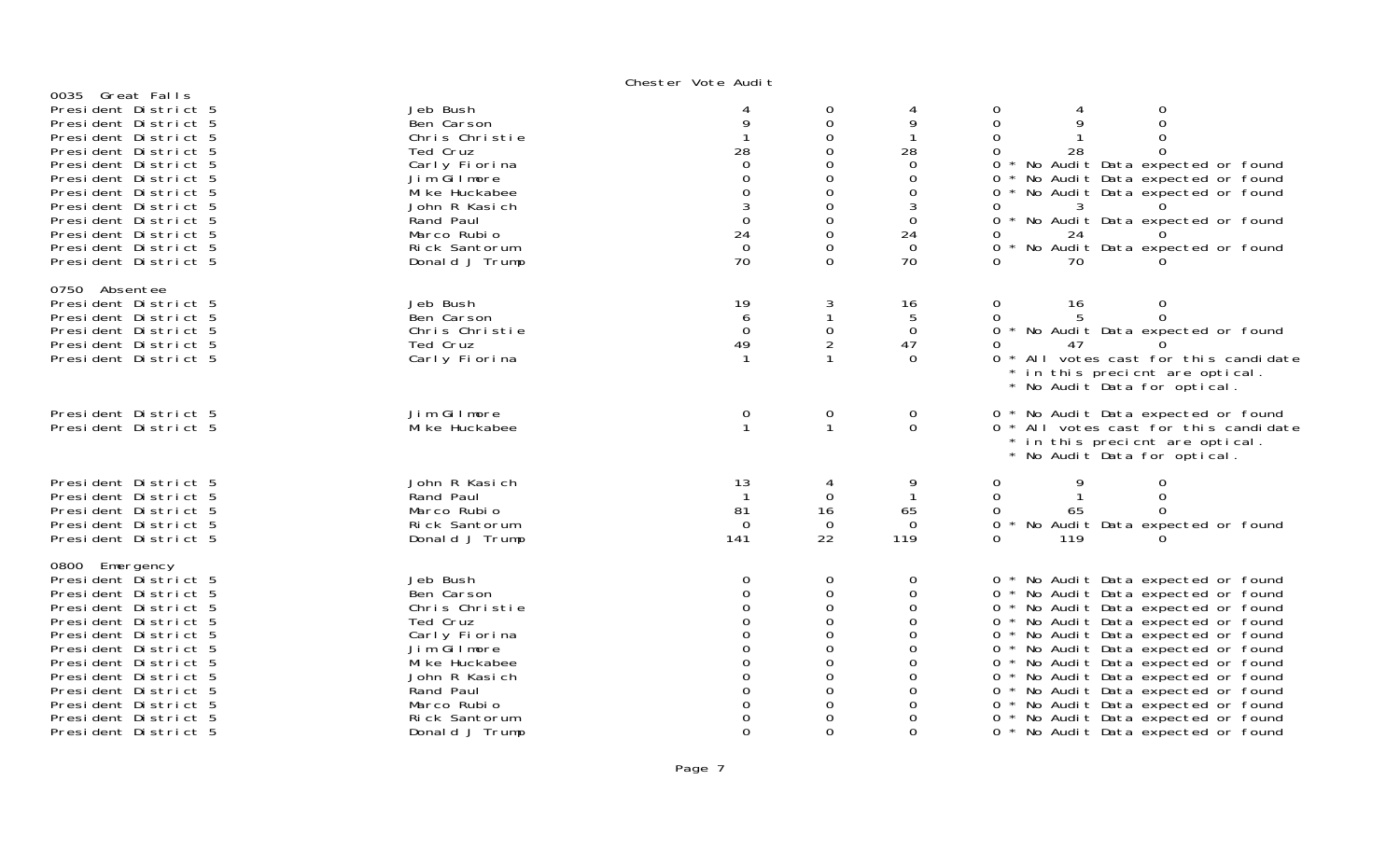# Chester Vote Audi†

| 0035 Great Falls<br>President District 5<br>President District 5<br>President District 5<br>President District 5<br>President District 5<br>President District 5<br>President District 5<br>President District 5<br>President District 5<br>President District 5<br>President District 5<br>President District 5 | Jeb Bush<br>Ben Carson<br>Chris Christie<br>Ted Cruz<br>Carly Fiorina<br>Jim Gilmore<br>Mi ke Huckabee<br>John R Kasich<br>Rand Paul<br>Marco Rubio<br>Rick Santorum<br>Donald J Trump | 28<br>$\Omega$<br>$\Omega$<br>$\mathbf 0$<br>3<br>$\overline{0}$<br>24<br>$\mathbf 0$<br>70                                | 0<br>$\mathbf 0$<br>$\boldsymbol{0}$<br>0<br>$\mathbf 0$<br>$\mathbf 0$<br>$\mathbf 0$<br>$\mbox{O}$<br>$\mathbf 0$<br>$\mbox{O}$<br>$\boldsymbol{0}$<br>$\mathbf{O}$ | 9<br>28<br>0<br>$\Omega$<br>$\Omega$<br>3<br>$\Omega$<br>24<br>$\Omega$<br>70                      | 0<br>0<br>$\Omega$<br>0<br>28<br>0<br>0 * No Audit Data expected or found<br>0 * No Audit Data expected or found<br>0 * No Audit Data expected or found<br>0<br>0 * No Audit Data expected or found<br>24<br>ი<br>No Audit Data expected or found<br>70                                                                                                                                                                                                                               |
|------------------------------------------------------------------------------------------------------------------------------------------------------------------------------------------------------------------------------------------------------------------------------------------------------------------|----------------------------------------------------------------------------------------------------------------------------------------------------------------------------------------|----------------------------------------------------------------------------------------------------------------------------|-----------------------------------------------------------------------------------------------------------------------------------------------------------------------|----------------------------------------------------------------------------------------------------|---------------------------------------------------------------------------------------------------------------------------------------------------------------------------------------------------------------------------------------------------------------------------------------------------------------------------------------------------------------------------------------------------------------------------------------------------------------------------------------|
| 0750 Absentee<br>President District 5<br>President District 5<br>President District 5<br>President District 5<br>President District 5                                                                                                                                                                            | Jeb Bush<br>Ben Carson<br>Chris Christie<br>Ted Cruz<br>Carly Fiorina                                                                                                                  | 19<br>6<br>$\Omega$<br>49<br>-1                                                                                            | 3<br>$\mathbf{1}$<br>$\boldsymbol{0}$<br>$\overline{2}$<br>$\mathbf{1}$                                                                                               | 16<br>5<br>$\mathbf 0$<br>47<br>$\Omega$                                                           | $\mathbf 0$<br>16<br>$\Omega$<br>0<br>0 * No Audit Data expected or found<br>0<br>47<br>0 * All votes cast for this candidate<br>in this precient are optical.<br>* No Audit Data for optical.                                                                                                                                                                                                                                                                                        |
| President District 5<br>President District 5                                                                                                                                                                                                                                                                     | Jim Gilmore<br>Mi ke Huckabee                                                                                                                                                          | 0<br>$\mathbf 1$                                                                                                           | 0<br>$\mathbf{1}$                                                                                                                                                     | 0<br>$\Omega$                                                                                      | 0 * No Audit Data expected or found<br>0 * All votes cast for this candidate<br>in this precient are optical.<br>* No Audit Data for optical.                                                                                                                                                                                                                                                                                                                                         |
| President District 5<br>President District 5<br>President District 5<br>President District 5<br>President District 5                                                                                                                                                                                             | John R Kasich<br>Rand Paul<br>Marco Rubio<br>Rick Santorum<br>Donald J Trump                                                                                                           | 13<br>$\mathbf 1$<br>81<br>$\Omega$<br>141                                                                                 | 4<br>$\Omega$<br>16<br>$\Omega$<br>22                                                                                                                                 | 65<br>$\Omega$<br>119                                                                              | 0<br>0<br>0<br>$\Omega$<br>0<br>65<br>$\Omega$<br>* No Audit Data expected or found<br>0<br>$\Omega$<br>119                                                                                                                                                                                                                                                                                                                                                                           |
| 0800 Emergency<br>President District 5<br>President District 5<br>President District 5<br>President District 5<br>President District 5<br>President District 5<br>President District 5<br>President District 5<br>President District 5<br>President District 5<br>President District 5<br>President District 5   | Jeb Bush<br>Ben Carson<br>Chris Christie<br>Ted Cruz<br>Carly Fiorina<br>Jim Gilmore<br>Mi ke Huckabee<br>John R Kasich<br>Rand Paul<br>Marco Rubio<br>Rick Santorum<br>Donald J Trump | $\mathbf 0$<br>$\Omega$<br>$\Omega$<br>$\Omega$<br>$\mathbf 0$<br>$\Omega$<br>$\Omega$<br>$\Omega$<br>$\Omega$<br>$\Omega$ | 0<br>$\mathbf 0$<br>$\mathbf 0$<br>0<br>$\mathbf 0$<br>$\mathbf 0$<br>$\mathbf 0$<br>0<br>$\Omega$<br>$\mathbf 0$<br>0<br>$\Omega$                                    | 0<br>$\Omega$<br>$\Omega$<br>∩<br>$\Omega$<br>$\Omega$<br>$\Omega$<br>∩<br>∩<br>O<br>∩<br>$\Omega$ | 0 * No Audit Data expected or found<br>0 * No Audit Data expected or found<br>0 * No Audit Data expected or found<br>0 * No Audit Data expected or found<br>0 * No Audit Data expected or found<br>0 * No Audit Data expected or found<br>0 * No Audit Data expected or found<br>0 * No Audit Data expected or found<br>0 * No Audit Data expected or found<br>No Audit Data expected or found<br>$0^*$<br>0 * No Audit Data expected or found<br>0 * No Audit Data expected or found |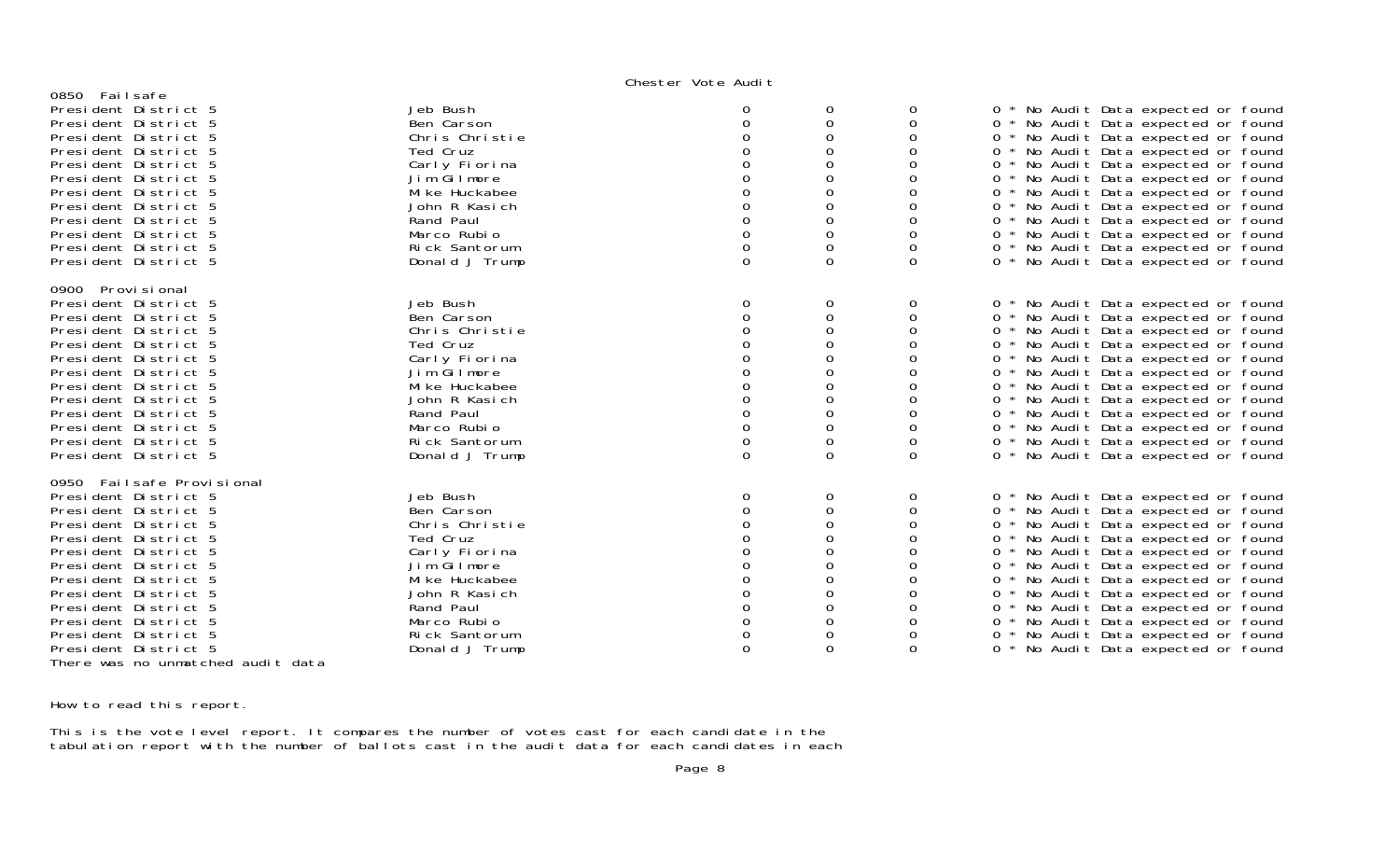## Chester Vote Audit

| 0850 Failsafe                     |                |          |          |             |                                                     |
|-----------------------------------|----------------|----------|----------|-------------|-----------------------------------------------------|
| President District 5              | Jeb Bush       | 0        | 0        | 0           | No Audit Data expected or found<br>0                |
| President District 5              | Ben Carson     | 0        | 0        | 0           | 0 * No Audit Data expected or found                 |
| President District 5              | Chris Christie | $\Omega$ | 0        | 0           | No Audit Data expected or found<br>$0 *$            |
| President District 5              | Ted Cruz       |          | O        | 0           | * No Audit Data expected or found<br>$\overline{0}$ |
| President District 5              | Carly Fiorina  |          | 0        | 0           | 0 * No Audit Data expected or found                 |
|                                   | Jim Gilmore    |          |          |             | $0 *$                                               |
| President District 5              | Mi ke Huckabee |          | 0        | 0<br>0      | No Audit Data expected or found                     |
| President District 5              |                |          | 0        |             | 0 * No Audit Data expected or found                 |
| President District 5              | John R Kasich  |          |          | 0           | 0 * No Audit Data expected or found                 |
| President District 5              | Rand Paul      | $\Omega$ | 0        | $\Omega$    | 0 * No Audit Data expected or found                 |
| President District 5              | Marco Rubio    | 0        | 0        | 0           | No Audit Data expected or found<br>$0 *$            |
| President District 5              | Rick Santorum  | 0        | 0        | 0           | 0 * No Audit Data expected or found                 |
| President District 5              | Donald J Trump | 0        | $\Omega$ | $\Omega$    | 0 * No Audit Data expected or found                 |
| 0900 Provi si onal                |                |          |          |             |                                                     |
| President District 5              | Jeb Bush       | 0        | 0        | 0           | * No Audit Data expected or found<br>0              |
| President District 5              | Ben Carson     | $\Omega$ | 0        | 0           | 0 * No Audit Data expected or found                 |
| President District 5              | Chris Christie |          | 0        | 0           | 0 * No Audit Data expected or found                 |
| President District 5              | Ted Cruz       |          | 0        | $\Omega$    | * No Audit Data expected or found<br>0              |
| President District 5              | Carly Fiorina  |          | 0        | 0           | $0 *$<br>No Audit Data expected or found            |
| President District 5              | Jim Gilmore    |          |          | 0           | $0 *$<br>No Audit Data expected or found            |
| President District 5              | Mi ke Huckabee |          | 0        | 0           | 0 * No Audit Data expected or found                 |
| President District 5              | John R Kasich  |          | 0        | 0           | 0 * No Audit Data expected or found                 |
| President District 5              | Rand Paul      | 0        | 0        | 0           | 0 * No Audit Data expected or found                 |
| President District 5              | Marco Rubio    |          | 0        | 0           | 0 * No Audit Data expected or found                 |
| President District 5              | Rick Santorum  | 0        | 0        | 0           | 0 * No Audit Data expected or found                 |
| President District 5              | Donald J Trump | 0        | $\Omega$ | $\Omega$    | 0 * No Audit Data expected or found                 |
|                                   |                |          |          |             |                                                     |
| 0950 Failsafe Provisional         |                |          |          |             |                                                     |
| President District 5              | Jeb Bush       | 0        | 0        | $\mathbf 0$ | * No Audit Data expected or found<br>$\overline{0}$ |
| President District 5              | Ben Carson     | $\Omega$ | 0        | 0           | 0 * No Audit Data expected or found                 |
| President District 5              | Chris Christie |          | $\Omega$ | 0           | 0 * No Audit Data expected or found                 |
| President District 5              | Ted Cruz       |          | 0        | 0           | 0 * No Audit Data expected or found                 |
| President District 5              | Carly Fiorina  |          |          | 0           | $0 *$<br>No Audit Data expected or found            |
| President District 5              | Jim Gilmore    |          |          |             | 0 * No Audit Data expected or found                 |
| President District 5              | Mi ke Huckabee |          | Ω        | 0           | 0 * No Audit Data expected or found                 |
| President District 5              | John R Kasich  |          | O        | 0           | 0 * No Audit Data expected or found                 |
| President District 5              | Rand Paul      | 0        | $\Omega$ | 0           | No Audit Data expected or found<br>$0^*$            |
| President District 5              | Marco Rubio    | 0        | 0        | 0           | $0 *$<br>No Audit Data expected or found            |
| President District 5              | Rick Santorum  | 0        | 0        | 0           | $0 *$<br>No Audit Data expected or found            |
| President District 5              | Donald J Trump | $\Omega$ | $\Omega$ | $\Omega$    | No Audit Data expected or found<br>0                |
| There was no unmatched audit data |                |          |          |             |                                                     |

How to read this report.

This is the vote level report. It compares the number of votes cast for each candidate in the tabulation report with the number of ballots cast in the audit data for each candidates in each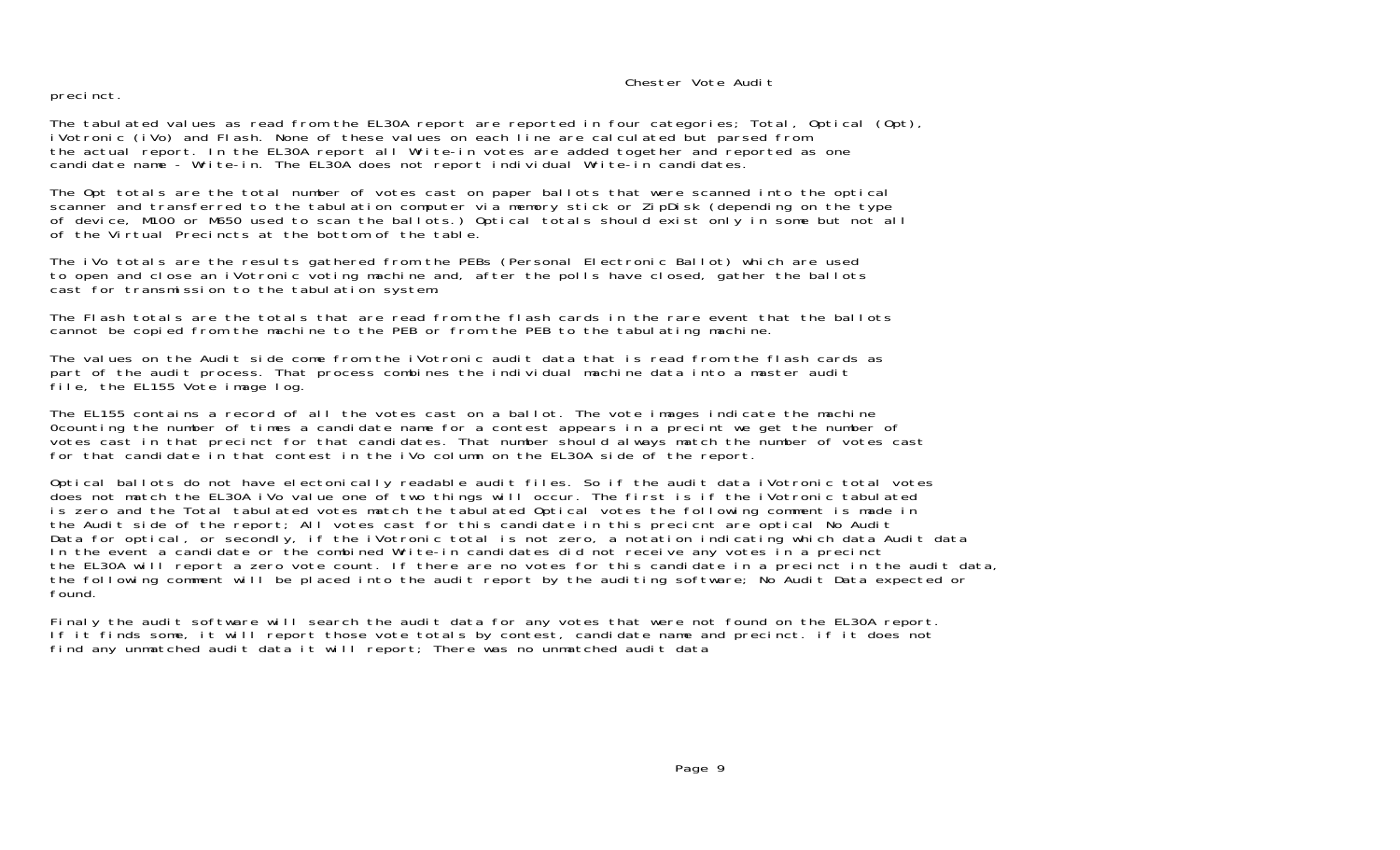## Chester Vote Audit

precinct.

The tabulated values as read from the EL30A report are reported in four categories; Total, Optical (Opt), iVotronic (iVo) and Flash. None of these values on each line are calculated but parsed from the actual report. In the EL30A report all Write-in votes are added together and reported as one candidate name - Write-in. The EL30A does not report individual Write-in candidates.

The Opt totals are the total number of votes cast on paper ballots that were scanned into the optical scanner and transferred to the tabulation computer via memory stick or ZipDisk (depending on the type of device, M100 or M650 used to scan the ballots.) Optical totals should exist only in some but not all of the Virtual Precincts at the bottom of the table.

The iVo totals are the results gathered from the PEBs (Personal Electronic Ballot) which are used to open and close an iVotronic voting machine and, after the polls have closed, gather the ballots cast for transmission to the tabulation system.

The Flash totals are the totals that are read from the flash cards in the rare event that the ballotscannot be copied from the machine to the PEB or from the PEB to the tabulating machine.

The values on the Audit side come from the iVotronic audit data that is read from the flash cards as part of the audit process. That process combines the individual machine data into a master audit file, the EL155 Vote image log.

The EL155 contains a record of all the votes cast on a ballot. The vote images indicate the machine 0counting the number of times a candidate name for a contest appears in a precint we get the number of votes cast in that precinct for that candidates. That number should always match the number of votes cast for that candidate in that contest in the iVo column on the EL30A side of the report.

Optical ballots do not have electonically readable audit files. So if the audit data iVotronic total votes does not match the EL30A iVo value one of two things will occur. The first is if the iVotronic tabulated is zero and the Total tabulated votes match the tabulated Optical votes the following comment is made in the Audit side of the report; All votes cast for this candidate in this precicnt are optical No Audit Data for optical, or secondly, if the iVotronic total is not zero, a notation indicating which data Audit data In the event a candidate or the combined Write-in candidates did not receive any votes in a precinct the EL30A will report a zero vote count. If there are no votes for this candidate in a precinct in the audit data, the following comment will be placed into the audit report by the auditing software; No Audit Data expected or found.

Finaly the audit software will search the audit data for any votes that were not found on the EL30A report. If it finds some, it will report those vote totals by contest, candidate name and precinct. if it does not find any unmatched audit data it will report; There was no unmatched audit data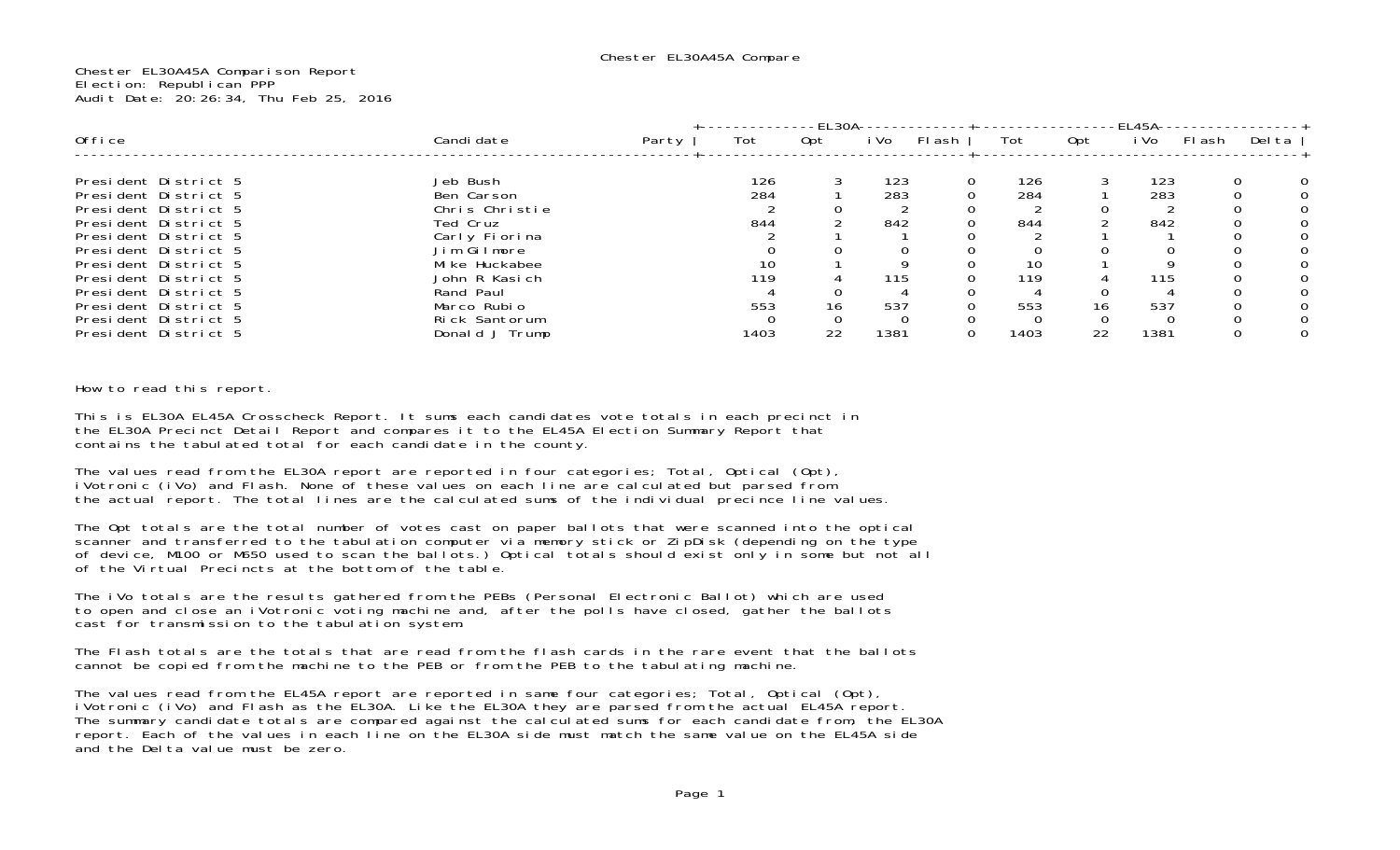Chester EL30A45A Comparison Report Election: Republican PPP Audit Date: 20:26:34, Thu Feb 25, 2016

|                                              |                                 |       |      | -EL30A- |      |        |      |     | -EL45A- |       |        |
|----------------------------------------------|---------------------------------|-------|------|---------|------|--------|------|-----|---------|-------|--------|
| Office                                       | Candi date                      | Party | Tot  | Opt     | i Vo | Fl ash | Tot  | Opt | i Vo    | Flash | Del ta |
| President District 5                         | Jeb Bush                        |       | 126  |         | 123  |        | 126  |     | 123     |       |        |
| President District 5                         | Ben Carson                      |       | 284  |         | 283  |        | 284  |     | 283     |       |        |
| President District 5                         | Chris Christie                  |       |      |         |      |        |      |     |         |       |        |
| President District 5                         | Ted Cruz                        |       | 844  |         | 842  |        | 844  |     | 842     |       |        |
| President District 5<br>President District 5 | Carly Fiorina<br>Jim Gilmore    |       |      |         |      |        |      |     |         |       |        |
| President District 5                         | Mi ke Huckabee                  |       | 10   |         |      |        | 10   |     |         |       |        |
| President District 5                         | John R Kasich                   |       | 119  |         | 115  |        | 119  |     | 115     |       |        |
| President District 5                         | Rand Paul                       |       |      |         |      |        |      |     |         |       |        |
| President District 5                         | Marco Rubio                     |       | 553  | 16      | 537  |        | 553  | 16  | 537     |       |        |
| President District 5<br>President District 5 | Rick Santorum<br>Donald J Trump |       | 1403 | 22      | 1381 |        | 1403 | 22  | 1381    |       |        |

How to read this report.

This is EL30A EL45A Crosscheck Report. It sums each candidates vote totals in each precinct in the EL30A Precinct Detail Report and compares it to the EL45A Election Summary Report that contains the tabulated total for each candidate in the county.

The values read from the EL30A report are reported in four categories; Total, Optical (Opt), iVotronic (iVo) and Flash. None of these values on each line are calculated but parsed from the actual report. The total lines are the calculated sums of the individual precince line values.

The Opt totals are the total number of votes cast on paper ballots that were scanned into the optical scanner and transferred to the tabulation computer via memory stick or ZipDisk (depending on the type of device, M100 or M650 used to scan the ballots.) Optical totals should exist only in some but not all of the Virtual Precincts at the bottom of the table.

The iVo totals are the results gathered from the PEBs (Personal Electronic Ballot) which are used to open and close an iVotronic voting machine and, after the polls have closed, gather the ballots cast for transmission to the tabulation system.

The Flash totals are the totals that are read from the flash cards in the rare event that the ballots cannot be copied from the machine to the PEB or from the PEB to the tabulating machine.

The values read from the EL45A report are reported in same four categories; Total, Optical (Opt), iVotronic (iVo) and Flash as the EL30A. Like the EL30A they are parsed from the actual EL45A report. The summary candidate totals are compared against the calculated sums for each candidate from, the EL30A report. Each of the values in each line on the EL30A side must match the same value on the EL45A side and the Delta value must be zero.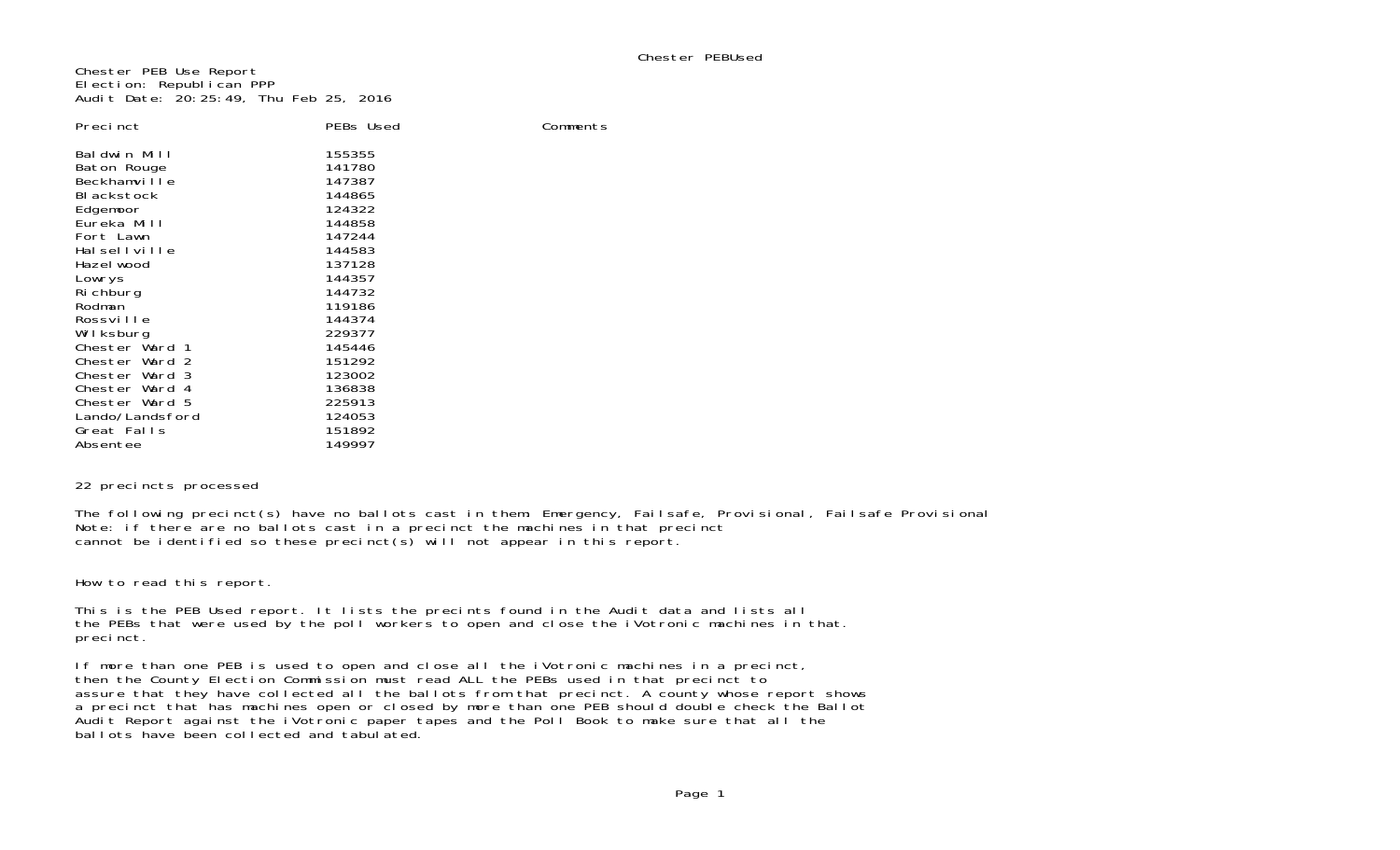Chester PEB Use Report Election: Republican PPP Audit Date: 20:25:49, Thu Feb 25, 2016

| Preci nct                                                                                                                                  | PEBs Used                                                                                        |  |
|--------------------------------------------------------------------------------------------------------------------------------------------|--------------------------------------------------------------------------------------------------|--|
| Baldwin Mill<br>Baton Rouge<br>Beckhamville<br>BI ackstock<br>Edgemoor<br>Eureka Mill<br>Fort Lawn<br>Halsellville<br>Hazel wood<br>Lowrys | 155355<br>141780<br>147387<br>144865<br>124322<br>144858<br>147244<br>144583<br>137128<br>144357 |  |
| Ri chburg                                                                                                                                  | 144732                                                                                           |  |
| Rodman                                                                                                                                     | 119186                                                                                           |  |
| Rossville                                                                                                                                  | 144374                                                                                           |  |
| Wilksburg                                                                                                                                  | 229377                                                                                           |  |
| Chester Ward 1<br>Chester Ward 2                                                                                                           | 145446<br>151292                                                                                 |  |
| Chester Ward 3                                                                                                                             | 123002                                                                                           |  |
| Chester Ward 4                                                                                                                             | 136838                                                                                           |  |
| Chester Ward 5                                                                                                                             | 225913                                                                                           |  |
| Lando/Landsford                                                                                                                            | 124053                                                                                           |  |
| Great Falls                                                                                                                                | 151892<br>149997                                                                                 |  |
| Absentee                                                                                                                                   |                                                                                                  |  |

## 22 precincts processed

The following precinct(s) have no ballots cast in them: Emergency, Failsafe, Provisional, Failsafe Provisional Note: if there are no ballots cast in a precinct the machines in that precinct cannot be identified so these precinct(s) will not appear in this report.

Comments

How to read this report.

This is the PEB Used report. It lists the precints found in the Audit data and lists all the PEBs that were used by the poll workers to open and close the iVotronic machines in that. precinct.

If more than one PEB is used to open and close all the iVotronic machines in a precinct, then the County Election Commission must read ALL the PEBs used in that precinct to assure that they have collected all the ballots from that precinct. A county whose report shows a precinct that has machines open or closed by more than one PEB should double check the Ballot Audit Report against the iVotronic paper tapes and the Poll Book to make sure that all the ballots have been collected and tabulated.